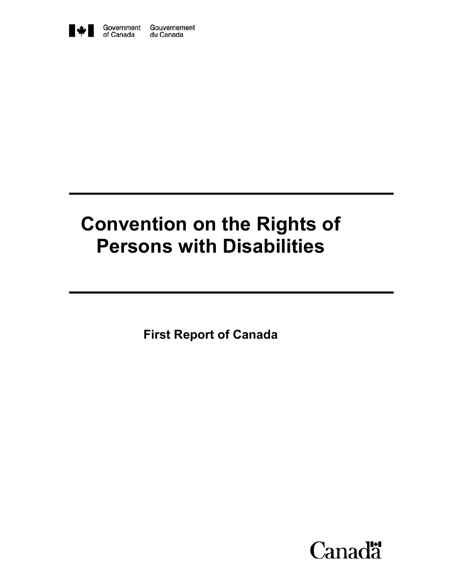

# **Convention on the Rights of Persons with Disabilities**

**First Report of Canada** 

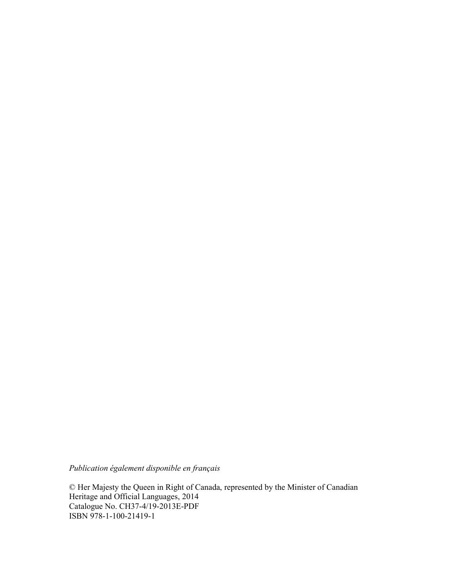*Publication également disponible en français* 

© Her Majesty the Queen in Right of Canada, represented by the Minister of Canadian Heritage and Official Languages, 2014 Catalogue No. CH37-4/19-2013E-PDF ISBN 978-1-100-21419-1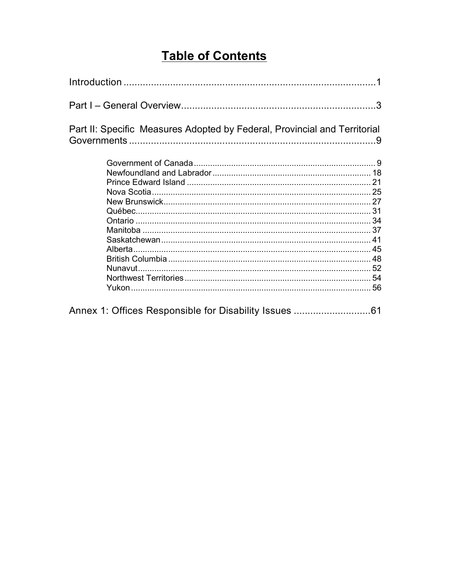## **Table of Contents**

| Part II: Specific Measures Adopted by Federal, Provincial and Territorial |  |
|---------------------------------------------------------------------------|--|
|                                                                           |  |
|                                                                           |  |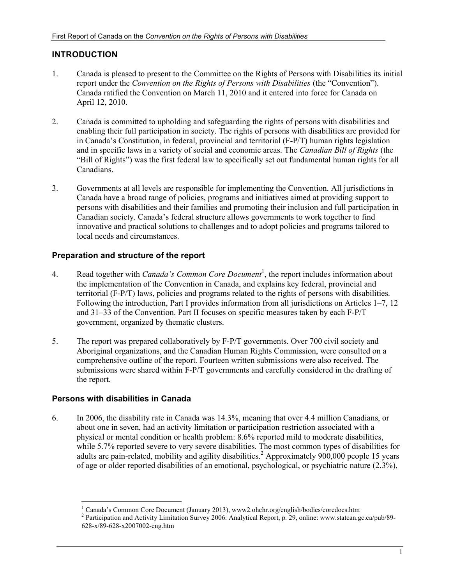## **INTRODUCTION**

- 1. Canada is pleased to present to the Committee on the Rights of Persons with Disabilities its initial report under the *Convention on the Rights of Persons with Disabilities* (the "Convention"). Canada ratified the Convention on March 11, 2010 and it entered into force for Canada on April 12, 2010.
- 2. Canada is committed to upholding and safeguarding the rights of persons with disabilities and enabling their full participation in society. The rights of persons with disabilities are provided for in Canada's Constitution, in federal, provincial and territorial (F-P/T) human rights legislation and in specific laws in a variety of social and economic areas. The *Canadian Bill of Rights* (the "Bill of Rights") was the first federal law to specifically set out fundamental human rights for all Canadians.
- 3. Governments at all levels are responsible for implementing the Convention. All jurisdictions in Canada have a broad range of policies, programs and initiatives aimed at providing support to persons with disabilities and their families and promoting their inclusion and full participation in Canadian society. Canada's federal structure allows governments to work together to find innovative and practical solutions to challenges and to adopt policies and programs tailored to local needs and circumstances.

## **Preparation and structure of the report**

- 4. Read together with *Canada's Common Core Document*<sup>1</sup>, the report includes information about the implementation of the Convention in Canada, and explains key federal, provincial and territorial (F-P/T) laws, policies and programs related to the rights of persons with disabilities. Following the introduction, Part I provides information from all jurisdictions on Articles 1–7, 12 and 31–33 of the Convention. Part II focuses on specific measures taken by each F-P/T government, organized by thematic clusters.
- 5. The report was prepared collaboratively by F-P/T governments. Over 700 civil society and Aboriginal organizations, and the Canadian Human Rights Commission, were consulted on a comprehensive outline of the report. Fourteen written submissions were also received. The submissions were shared within F-P/T governments and carefully considered in the drafting of the report.

## **Persons with disabilities in Canada**

6. In 2006, the disability rate in Canada was 14.3%, meaning that over 4.4 million Canadians, or about one in seven, had an activity limitation or participation restriction associated with a physical or mental condition or health problem: 8.6% reported mild to moderate disabilities, while 5.7% reported severe to very severe disabilities. The most common types of disabilities for adults are pain-related, mobility and agility disabilities.<sup>2</sup> Approximately 900,000 people 15 years of age or older reported disabilities of an emotional, psychological, or psychiatric nature (2.3%),

<sup>-</sup><sup>1</sup> Canada's Common Core Document (January 2013), www2.ohchr.org/english/bodies/coredocs.htm

<sup>&</sup>lt;sup>2</sup> Participation and Activity Limitation Survey 2006: Analytical Report, p. 29, online: www.statcan.gc.ca/pub/89-628-x/89-628-x2007002-eng.htm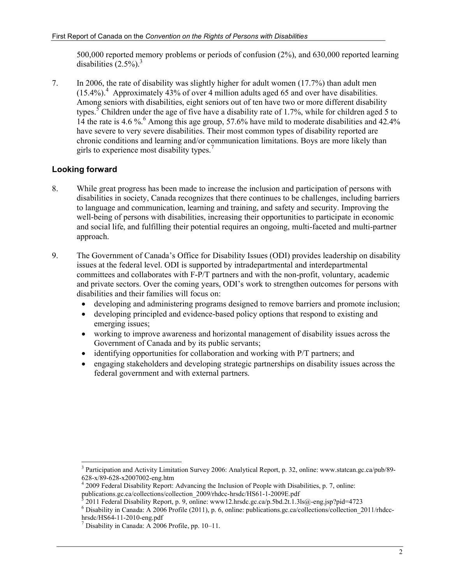500,000 reported memory problems or periods of confusion (2%), and 630,000 reported learning disabilities  $(2.5\%)$ <sup>3</sup>

7. In 2006, the rate of disability was slightly higher for adult women (17.7%) than adult men  $(15.4\%)$ <sup>4</sup> Approximately 43% of over 4 million adults aged 65 and over have disabilities. Among seniors with disabilities, eight seniors out of ten have two or more different disability types.<sup>5</sup> Children under the age of five have a disability rate of 1.7%, while for children aged 5 to 14 the rate is 4.6 %.<sup>6</sup> Among this age group, 57.6% have mild to moderate disabilities and 42.4% have severe to very severe disabilities. Their most common types of disability reported are chronic conditions and learning and/or communication limitations. Boys are more likely than girls to experience most disability types. $<sup>7</sup>$ </sup>

## **Looking forward**

- 8. While great progress has been made to increase the inclusion and participation of persons with disabilities in society, Canada recognizes that there continues to be challenges, including barriers to language and communication, learning and training, and safety and security. Improving the well-being of persons with disabilities, increasing their opportunities to participate in economic and social life, and fulfilling their potential requires an ongoing, multi-faceted and multi-partner approach.
- 9. The Government of Canada's Office for Disability Issues (ODI) provides leadership on disability issues at the federal level. ODI is supported by intradepartmental and interdepartmental committees and collaborates with F-P/T partners and with the non-profit, voluntary, academic and private sectors. Over the coming years, ODI's work to strengthen outcomes for persons with disabilities and their families will focus on:
	- developing and administering programs designed to remove barriers and promote inclusion;
	- developing principled and evidence-based policy options that respond to existing and emerging issues;
	- working to improve awareness and horizontal management of disability issues across the Government of Canada and by its public servants;
	- identifying opportunities for collaboration and working with P/T partners; and
	- engaging stakeholders and developing strategic partnerships on disability issues across the federal government and with external partners.

<sup>-</sup><sup>3</sup> Participation and Activity Limitation Survey 2006: Analytical Report, p. 32, online: www.statcan.gc.ca/pub/89-628-x/89-628-x2007002-eng.htm

<sup>4</sup> 2009 Federal Disability Report: Advancing the Inclusion of People with Disabilities, p. 7, online: publications.gc.ca/collections/collection\_2009/rhdcc-hrsdc/HS61-1-2009E.pdf 5

 <sup>2011</sup> Federal Disability Report, p. 9, online: www12.hrsdc.gc.ca/p.5bd.2t.1.3ls@-eng.jsp?pid=4723

<sup>&</sup>lt;sup>6</sup> Disability in Canada: A 2006 Profile (2011), p. 6, online: publications.gc.ca/collections/collection\_2011/rhdcchrsdc/HS64-11-2010-eng.pdf

<sup>7</sup> Disability in Canada: A 2006 Profile, pp. 10–11.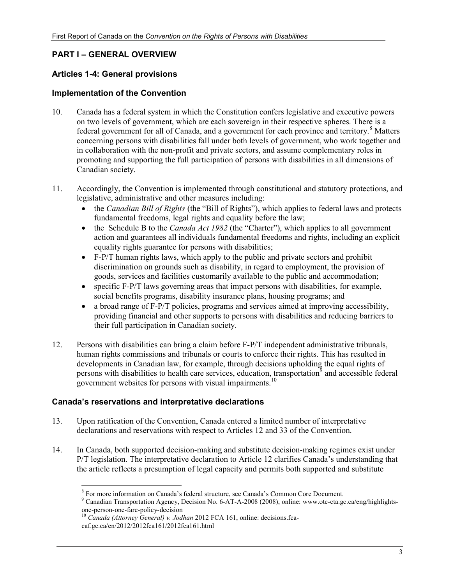## **PART I – GENERAL OVERVIEW**

#### **Articles 1-4: General provisions**

#### **Implementation of the Convention**

- 10. Canada has a federal system in which the Constitution confers legislative and executive powers on two levels of government, which are each sovereign in their respective spheres. There is a federal government for all of Canada, and a government for each province and territory.<sup>8</sup> Matters concerning persons with disabilities fall under both levels of government, who work together and in collaboration with the non-profit and private sectors, and assume complementary roles in promoting and supporting the full participation of persons with disabilities in all dimensions of Canadian society.
- 11. Accordingly, the Convention is implemented through constitutional and statutory protections, and legislative, administrative and other measures including:
	- the *Canadian Bill of Rights* (the "Bill of Rights"), which applies to federal laws and protects fundamental freedoms, legal rights and equality before the law;
	- the Schedule B to the *Canada Act 1982* (the "Charter"), which applies to all government action and guarantees all individuals fundamental freedoms and rights, including an explicit equality rights guarantee for persons with disabilities;
	- F-P/T human rights laws, which apply to the public and private sectors and prohibit discrimination on grounds such as disability, in regard to employment, the provision of goods, services and facilities customarily available to the public and accommodation;
	- specific F-P/T laws governing areas that impact persons with disabilities, for example, social benefits programs, disability insurance plans, housing programs; and
	- a broad range of F-P/T policies, programs and services aimed at improving accessibility, providing financial and other supports to persons with disabilities and reducing barriers to their full participation in Canadian society.
- 12. Persons with disabilities can bring a claim before F-P/T independent administrative tribunals, human rights commissions and tribunals or courts to enforce their rights. This has resulted in developments in Canadian law, for example, through decisions upholding the equal rights of persons with disabilities to health care services, education, transportation<sup>9</sup> and accessible federal government websites for persons with visual impairments.<sup>10</sup>

## **Canada's reservations and interpretative declarations**

- 13. Upon ratification of the Convention, Canada entered a limited number of interpretative declarations and reservations with respect to Articles 12 and 33 of the Convention.
- 14. In Canada, both supported decision-making and substitute decision-making regimes exist under P/T legislation. The interpretative declaration to Article 12 clarifies Canada's understanding that the article reflects a presumption of legal capacity and permits both supported and substitute

<sup>-</sup><sup>8</sup> For more information on Canada's federal structure, see Canada's Common Core Document.

<sup>&</sup>lt;sup>9</sup> Canadian Transportation Agency, Decision No. 6-AT-A-2008 (2008), online: www.otc-cta.gc.ca/eng/highlightsone-person-one-fare-policy-decision

<sup>&</sup>lt;sup>10</sup> Canada (Attorney General) v. Jodhan 2012 FCA 161, online: decisions.fcacaf.gc.ca/en/2012/2012fca161/2012fca161.html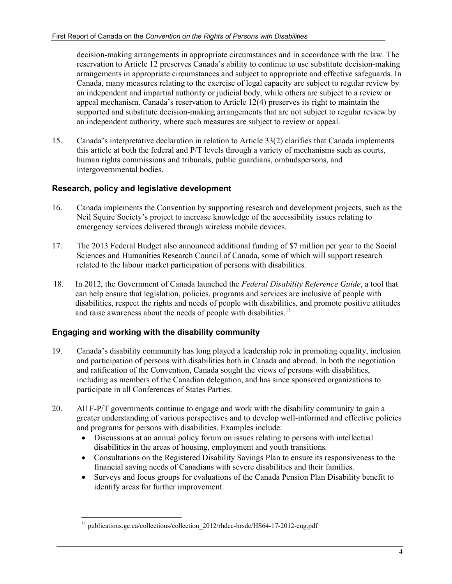decision-making arrangements in appropriate circumstances and in accordance with the law. The reservation to Article 12 preserves Canada's ability to continue to use substitute decision-making arrangements in appropriate circumstances and subject to appropriate and effective safeguards. In Canada, many measures relating to the exercise of legal capacity are subject to regular review by an independent and impartial authority or judicial body, while others are subject to a review or appeal mechanism. Canada's reservation to Article 12(4) preserves its right to maintain the supported and substitute decision-making arrangements that are not subject to regular review by an independent authority, where such measures are subject to review or appeal.

15. Canada's interpretative declaration in relation to Article 33(2) clarifies that Canada implements this article at both the federal and P/T levels through a variety of mechanisms such as courts, human rights commissions and tribunals, public guardians, ombudspersons, and intergovernmental bodies.

## **Research, policy and legislative development**

- 16. Canada implements the Convention by supporting research and development projects, such as the Neil Squire Society's project to increase knowledge of the accessibility issues relating to emergency services delivered through wireless mobile devices.
- 17. The 2013 Federal Budget also announced additional funding of \$7 million per year to the Social Sciences and Humanities Research Council of Canada, some of which will support research related to the labour market participation of persons with disabilities.
- 18. In 2012, the Government of Canada launched the *Federal Disability Reference Guide*, a tool that can help ensure that legislation, policies, programs and services are inclusive of people with disabilities, respect the rights and needs of people with disabilities, and promote positive attitudes and raise awareness about the needs of people with disabilities.<sup>11</sup>

## **Engaging and working with the disability community**

- 19. Canada's disability community has long played a leadership role in promoting equality, inclusion and participation of persons with disabilities both in Canada and abroad. In both the negotiation and ratification of the Convention, Canada sought the views of persons with disabilities, including as members of the Canadian delegation, and has since sponsored organizations to participate in all Conferences of States Parties.
- 20. All F-P/T governments continue to engage and work with the disability community to gain a greater understanding of various perspectives and to develop well-informed and effective policies and programs for persons with disabilities. Examples include:
	- Discussions at an annual policy forum on issues relating to persons with intellectual disabilities in the areas of housing, employment and youth transitions.
	- Consultations on the Registered Disability Savings Plan to ensure its responsiveness to the financial saving needs of Canadians with severe disabilities and their families.
	- Surveys and focus groups for evaluations of the Canada Pension Plan Disability benefit to identify areas for further improvement.

<sup>-</sup><sup>11</sup> publications.gc.ca/collections/collection\_2012/rhdcc-hrsdc/HS64-17-2012-eng.pdf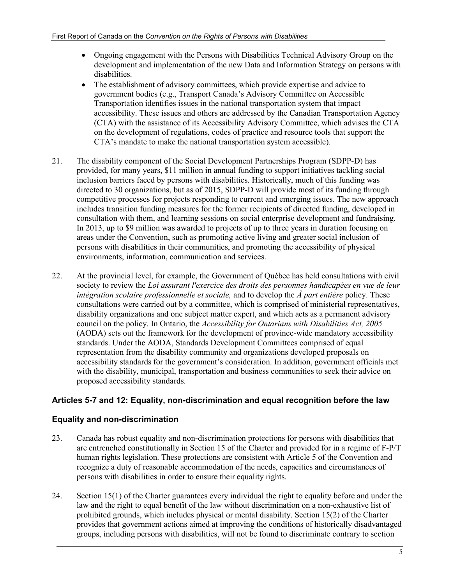- Ongoing engagement with the Persons with Disabilities Technical Advisory Group on the development and implementation of the new Data and Information Strategy on persons with disabilities.
- The establishment of advisory committees, which provide expertise and advice to government bodies (e.g., Transport Canada's Advisory Committee on Accessible Transportation identifies issues in the national transportation system that impact accessibility. These issues and others are addressed by the Canadian Transportation Agency (CTA) with the assistance of its Accessibility Advisory Committee, which advises the CTA on the development of regulations, codes of practice and resource tools that support the CTA's mandate to make the national transportation system accessible).
- 21. The disability component of the Social Development Partnerships Program (SDPP-D) has provided, for many years, \$11 million in annual funding to support initiatives tackling social inclusion barriers faced by persons with disabilities. Historically, much of this funding was directed to 30 organizations, but as of 2015, SDPP-D will provide most of its funding through competitive processes for projects responding to current and emerging issues. The new approach includes transition funding measures for the former recipients of directed funding, developed in consultation with them, and learning sessions on social enterprise development and fundraising. In 2013, up to \$9 million was awarded to projects of up to three years in duration focusing on areas under the Convention, such as promoting active living and greater social inclusion of persons with disabilities in their communities, and promoting the accessibility of physical environments, information, communication and services.
- 22. At the provincial level, for example, the Government of Québec has held consultations with civil society to review the *Loi assurant l'exercice des droits des personnes handicapées en vue de leur intégration scolaire professionnelle et sociale,* and to develop the *À part entière* policy. These consultations were carried out by a committee, which is comprised of ministerial representatives, disability organizations and one subject matter expert, and which acts as a permanent advisory council on the policy. In Ontario, the *Accessibility for Ontarians with Disabilities Act, 2005*  (AODA) sets out the framework for the development of province-wide mandatory accessibility standards. Under the AODA, Standards Development Committees comprised of equal representation from the disability community and organizations developed proposals on accessibility standards for the government's consideration. In addition, government officials met with the disability, municipal, transportation and business communities to seek their advice on proposed accessibility standards.

## **Articles 5-7 and 12: Equality, non-discrimination and equal recognition before the law**

## **Equality and non-discrimination**

- 23. Canada has robust equality and non-discrimination protections for persons with disabilities that are entrenched constitutionally in Section 15 of the Charter and provided for in a regime of F-P/T human rights legislation. These protections are consistent with Article 5 of the Convention and recognize a duty of reasonable accommodation of the needs, capacities and circumstances of persons with disabilities in order to ensure their equality rights.
- 24. Section 15(1) of the Charter guarantees every individual the right to equality before and under the law and the right to equal benefit of the law without discrimination on a non-exhaustive list of prohibited grounds, which includes physical or mental disability. Section 15(2) of the Charter provides that government actions aimed at improving the conditions of historically disadvantaged groups, including persons with disabilities, will not be found to discriminate contrary to section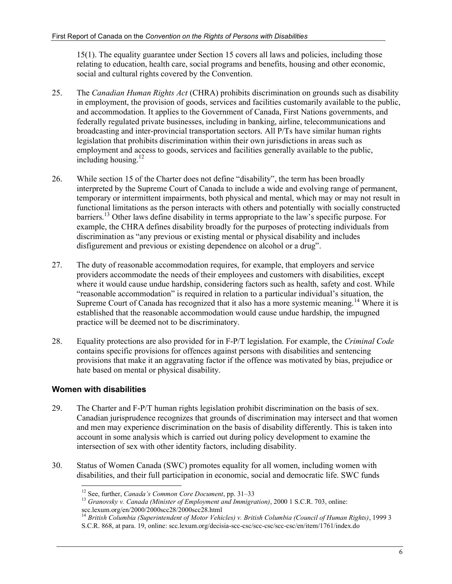15(1). The equality guarantee under Section 15 covers all laws and policies, including those relating to education, health care, social programs and benefits, housing and other economic, social and cultural rights covered by the Convention.

- 25. The *Canadian Human Rights Act* (CHRA) prohibits discrimination on grounds such as disability in employment, the provision of goods, services and facilities customarily available to the public, and accommodation. It applies to the Government of Canada, First Nations governments, and federally regulated private businesses, including in banking, airline, telecommunications and broadcasting and inter-provincial transportation sectors. All P/Ts have similar human rights legislation that prohibits discrimination within their own jurisdictions in areas such as employment and access to goods, services and facilities generally available to the public, including housing. $12$
- 26. While section 15 of the Charter does not define "disability", the term has been broadly interpreted by the Supreme Court of Canada to include a wide and evolving range of permanent, temporary or intermittent impairments, both physical and mental, which may or may not result in functional limitations as the person interacts with others and potentially with socially constructed barriers.<sup>13</sup> Other laws define disability in terms appropriate to the law's specific purpose. For example, the CHRA defines disability broadly for the purposes of protecting individuals from discrimination as "any previous or existing mental or physical disability and includes disfigurement and previous or existing dependence on alcohol or a drug".
- 27. The duty of reasonable accommodation requires, for example, that employers and service providers accommodate the needs of their employees and customers with disabilities, except where it would cause undue hardship, considering factors such as health, safety and cost. While "reasonable accommodation" is required in relation to a particular individual's situation, the Supreme Court of Canada has recognized that it also has a more systemic meaning.<sup>14</sup> Where it is established that the reasonable accommodation would cause undue hardship, the impugned practice will be deemed not to be discriminatory.
- 28. Equality protections are also provided for in F-P/T legislation. For example, the *Criminal Code* contains specific provisions for offences against persons with disabilities and sentencing provisions that make it an aggravating factor if the offence was motivated by bias, prejudice or hate based on mental or physical disability.

## **Women with disabilities**

- 29. The Charter and F-P/T human rights legislation prohibit discrimination on the basis of sex. Canadian jurisprudence recognizes that grounds of discrimination may intersect and that women and men may experience discrimination on the basis of disability differently. This is taken into account in some analysis which is carried out during policy development to examine the intersection of sex with other identity factors, including disability.
- 30. Status of Women Canada (SWC) promotes equality for all women, including women with disabilities, and their full participation in economic, social and democratic life. SWC funds

<sup>&</sup>lt;sup>12</sup> See, further, *Canada's Common Core Document*, pp. 31-33

<sup>&</sup>lt;sup>13</sup> Granovsky v. Canada (Minister of Employment and Immigration), 2000 1 S.C.R. 703, online: scc.lexum.org/en/2000/2000scc28/2000scc28.html

<sup>14</sup> *British Columbia (Superintendent of Motor Vehicles) v. British Columbia (Council of Human Rights)*, 1999 3 S.C.R. 868, at para. 19, online: scc.lexum.org/decisia-scc-csc/scc-csc/scc-csc/en/item/1761/index.do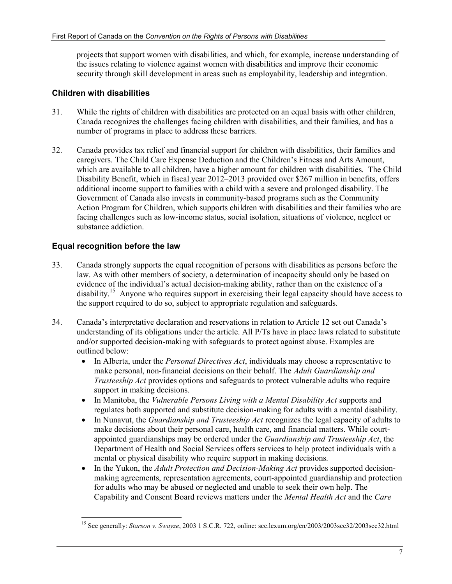projects that support women with disabilities, and which, for example, increase understanding of the issues relating to violence against women with disabilities and improve their economic security through skill development in areas such as employability, leadership and integration.

## **Children with disabilities**

- 31. While the rights of children with disabilities are protected on an equal basis with other children, Canada recognizes the challenges facing children with disabilities, and their families, and has a number of programs in place to address these barriers.
- 32. Canada provides tax relief and financial support for children with disabilities, their families and caregivers. The Child Care Expense Deduction and the Children's Fitness and Arts Amount, which are available to all children, have a higher amount for children with disabilities. The Child Disability Benefit, which in fiscal year 2012–2013 provided over \$267 million in benefits, offers additional income support to families with a child with a severe and prolonged disability. The Government of Canada also invests in community-based programs such as the Community Action Program for Children, which supports children with disabilities and their families who are facing challenges such as low-income status, social isolation, situations of violence, neglect or substance addiction.

## **Equal recognition before the law**

-

- 33. Canada strongly supports the equal recognition of persons with disabilities as persons before the law. As with other members of society, a determination of incapacity should only be based on evidence of the individual's actual decision-making ability, rather than on the existence of a disability.<sup>15</sup> Anyone who requires support in exercising their legal capacity should have access to the support required to do so, subject to appropriate regulation and safeguards.
- 34. Canada's interpretative declaration and reservations in relation to Article 12 set out Canada's understanding of its obligations under the article. All P/Ts have in place laws related to substitute and/or supported decision-making with safeguards to protect against abuse. Examples are outlined below:
	- In Alberta, under the *Personal Directives Act*, individuals may choose a representative to make personal, non-financial decisions on their behalf. The *Adult Guardianship and Trusteeship Act* provides options and safeguards to protect vulnerable adults who require support in making decisions.
	- In Manitoba, the *Vulnerable Persons Living with a Mental Disability Act* supports and regulates both supported and substitute decision-making for adults with a mental disability.
	- In Nunavut, the *Guardianship and Trusteeship Act* recognizes the legal capacity of adults to make decisions about their personal care, health care, and financial matters. While courtappointed guardianships may be ordered under the *Guardianship and Trusteeship Act*, the Department of Health and Social Services offers services to help protect individuals with a mental or physical disability who require support in making decisions.
	- In the Yukon, the *Adult Protection and Decision-Making Act* provides supported decisionmaking agreements, representation agreements, court-appointed guardianship and protection for adults who may be abused or neglected and unable to seek their own help. The Capability and Consent Board reviews matters under the *Mental Health Act* and the *Care*

<sup>15</sup> See generally: *Starson v. Swayze*, 2003 1 S.C.R. 722, online: scc.lexum.org/en/2003/2003scc32/2003scc32.html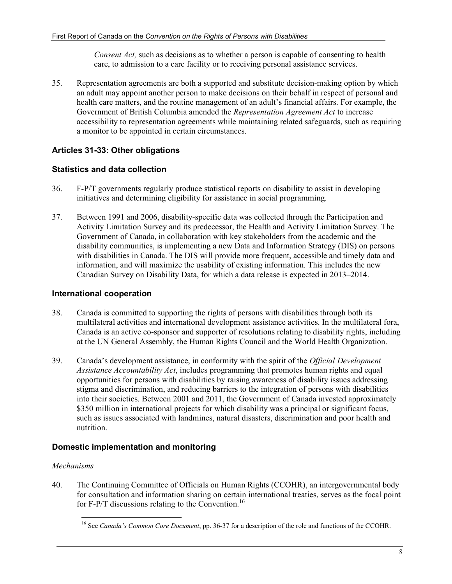*Consent Act,* such as decisions as to whether a person is capable of consenting to health care, to admission to a care facility or to receiving personal assistance services.

35. Representation agreements are both a supported and substitute decision-making option by which an adult may appoint another person to make decisions on their behalf in respect of personal and health care matters, and the routine management of an adult's financial affairs. For example, the Government of British Columbia amended the *Representation Agreement Act* to increase accessibility to representation agreements while maintaining related safeguards, such as requiring a monitor to be appointed in certain circumstances.

## **Articles 31-33: Other obligations**

## **Statistics and data collection**

- 36. F-P/T governments regularly produce statistical reports on disability to assist in developing initiatives and determining eligibility for assistance in social programming.
- 37. Between 1991 and 2006, disability-specific data was collected through the Participation and Activity Limitation Survey and its predecessor, the Health and Activity Limitation Survey. The Government of Canada, in collaboration with key stakeholders from the academic and the disability communities, is implementing a new Data and Information Strategy (DIS) on persons with disabilities in Canada. The DIS will provide more frequent, accessible and timely data and information, and will maximize the usability of existing information. This includes the new Canadian Survey on Disability Data, for which a data release is expected in 2013–2014.

#### **International cooperation**

- 38. Canada is committed to supporting the rights of persons with disabilities through both its multilateral activities and international development assistance activities. In the multilateral fora, Canada is an active co-sponsor and supporter of resolutions relating to disability rights, including at the UN General Assembly, the Human Rights Council and the World Health Organization.
- 39. Canada's development assistance, in conformity with the spirit of the *Official Development Assistance Accountability Act*, includes programming that promotes human rights and equal opportunities for persons with disabilities by raising awareness of disability issues addressing stigma and discrimination, and reducing barriers to the integration of persons with disabilities into their societies. Between 2001 and 2011, the Government of Canada invested approximately \$350 million in international projects for which disability was a principal or significant focus, such as issues associated with landmines, natural disasters, discrimination and poor health and nutrition.

## **Domestic implementation and monitoring**

#### *Mechanisms*

40. The Continuing Committee of Officials on Human Rights (CCOHR), an intergovernmental body for consultation and information sharing on certain international treaties, serves as the focal point for F-P/T discussions relating to the Convention.<sup>16</sup>

<sup>-</sup><sup>16</sup> See *Canada's Common Core Document*, pp. 36-37 for a description of the role and functions of the CCOHR.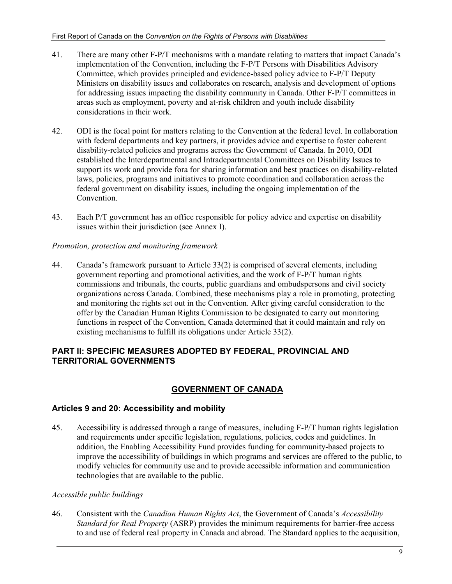- 41. There are many other F-P/T mechanisms with a mandate relating to matters that impact Canada's implementation of the Convention, including the F-P/T Persons with Disabilities Advisory Committee, which provides principled and evidence-based policy advice to F-P/T Deputy Ministers on disability issues and collaborates on research, analysis and development of options for addressing issues impacting the disability community in Canada. Other F-P/T committees in areas such as employment, poverty and at-risk children and youth include disability considerations in their work.
- 42. ODI is the focal point for matters relating to the Convention at the federal level. In collaboration with federal departments and key partners, it provides advice and expertise to foster coherent disability-related policies and programs across the Government of Canada. In 2010, ODI established the Interdepartmental and Intradepartmental Committees on Disability Issues to support its work and provide fora for sharing information and best practices on disability-related laws, policies, programs and initiatives to promote coordination and collaboration across the federal government on disability issues, including the ongoing implementation of the Convention.
- 43. Each P/T government has an office responsible for policy advice and expertise on disability issues within their jurisdiction (see Annex I).

## *Promotion, protection and monitoring framework*

44. Canada's framework pursuant to Article 33(2) is comprised of several elements, including government reporting and promotional activities, and the work of F-P/T human rights commissions and tribunals, the courts, public guardians and ombudspersons and civil society organizations across Canada. Combined, these mechanisms play a role in promoting, protecting and monitoring the rights set out in the Convention. After giving careful consideration to the offer by the Canadian Human Rights Commission to be designated to carry out monitoring functions in respect of the Convention, Canada determined that it could maintain and rely on existing mechanisms to fulfill its obligations under Article 33(2).

## **PART II: SPECIFIC MEASURES ADOPTED BY FEDERAL, PROVINCIAL AND TERRITORIAL GOVERNMENTS**

## **GOVERNMENT OF CANADA**

## **Articles 9 and 20: Accessibility and mobility**

45. Accessibility is addressed through a range of measures, including F-P/T human rights legislation and requirements under specific legislation, regulations, policies, codes and guidelines. In addition, the Enabling Accessibility Fund provides funding for community-based projects to improve the accessibility of buildings in which programs and services are offered to the public, to modify vehicles for community use and to provide accessible information and communication technologies that are available to the public.

## *Accessible public buildings*

46. Consistent with the *Canadian Human Rights Act*, the Government of Canada's *Accessibility Standard for Real Property* (ASRP) provides the minimum requirements for barrier-free access to and use of federal real property in Canada and abroad. The Standard applies to the acquisition,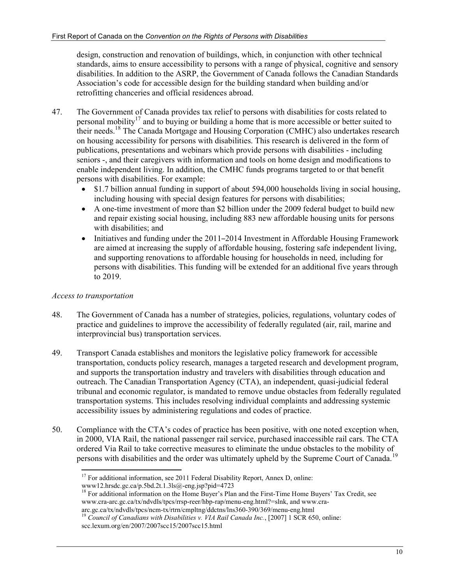design, construction and renovation of buildings, which, in conjunction with other technical standards, aims to ensure accessibility to persons with a range of physical, cognitive and sensory disabilities. In addition to the ASRP, the Government of Canada follows the Canadian Standards Association's code for accessible design for the building standard when building and/or retrofitting chanceries and official residences abroad.

- 47. The Government of Canada provides tax relief to persons with disabilities for costs related to personal mobility<sup>17</sup> and to buying or building a home that is more accessible or better suited to their needs.18 The Canada Mortgage and Housing Corporation (CMHC) also undertakes research on housing accessibility for persons with disabilities. This research is delivered in the form of publications, presentations and webinars which provide persons with disabilities - including seniors -, and their caregivers with information and tools on home design and modifications to enable independent living. In addition, the CMHC funds programs targeted to or that benefit persons with disabilities. For example:
	- \$1.7 billion annual funding in support of about 594,000 households living in social housing, including housing with special design features for persons with disabilities;
	- A one-time investment of more than \$2 billion under the 2009 federal budget to build new and repair existing social housing, including 883 new affordable housing units for persons with disabilities; and
	- Initiatives and funding under the 2011–2014 Investment in Affordable Housing Framework are aimed at increasing the supply of affordable housing, fostering safe independent living, and supporting renovations to affordable housing for households in need, including for persons with disabilities. This funding will be extended for an additional five years through to 2019.

## *Access to transportation*

- 48. The Government of Canada has a number of strategies, policies, regulations, voluntary codes of practice and guidelines to improve the accessibility of federally regulated (air, rail, marine and interprovincial bus) transportation services.
- 49. Transport Canada establishes and monitors the legislative policy framework for accessible transportation, conducts policy research, manages a targeted research and development program, and supports the transportation industry and travelers with disabilities through education and outreach. The Canadian Transportation Agency (CTA), an independent, quasi-judicial federal tribunal and economic regulator, is mandated to remove undue obstacles from federally regulated transportation systems. This includes resolving individual complaints and addressing systemic accessibility issues by administering regulations and codes of practice.
- 50. Compliance with the CTA's codes of practice has been positive, with one noted exception when, in 2000, VIA Rail, the national passenger rail service, purchased inaccessible rail cars. The CTA ordered Via Rail to take corrective measures to eliminate the undue obstacles to the mobility of persons with disabilities and the order was ultimately upheld by the Supreme Court of Canada.<sup>19</sup>

<sup>-</sup> $17$  For additional information, see 2011 Federal Disability Report, Annex D, online:

www12.hrsdc.gc.ca/p.5bd.2t.1.3ls@-eng.jsp?pid=4723

<sup>&</sup>lt;sup>18</sup> For additional information on the Home Buyer's Plan and the First-Time Home Buyers' Tax Credit, see www.cra-arc.gc.ca/tx/ndvdls/tpcs/rrsp-reer/hbp-rap/menu-eng.html?=slnk, and www.craarc.gc.ca/tx/ndvdls/tpcs/ncm-tx/rtrn/cmpltng/ddctns/lns360-390/369/menu-eng.html

<sup>&</sup>lt;sup>19</sup> Council of Canadians with Disabilities v. VIA Rail Canada Inc., [2007] 1 SCR 650, online: scc.lexum.org/en/2007/2007scc15/2007scc15.html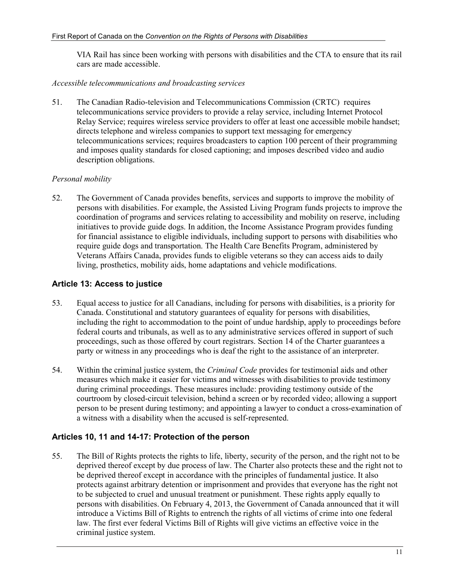VIA Rail has since been working with persons with disabilities and the CTA to ensure that its rail cars are made accessible.

#### *Accessible telecommunications and broadcasting services*

51. The Canadian Radio-television and Telecommunications Commission (CRTC) requires telecommunications service providers to provide a relay service, including Internet Protocol Relay Service; requires wireless service providers to offer at least one accessible mobile handset; directs telephone and wireless companies to support text messaging for emergency telecommunications services; requires broadcasters to caption 100 percent of their programming and imposes quality standards for closed captioning; and imposes described video and audio description obligations.

## *Personal mobility*

52. The Government of Canada provides benefits, services and supports to improve the mobility of persons with disabilities. For example, the Assisted Living Program funds projects to improve the coordination of programs and services relating to accessibility and mobility on reserve, including initiatives to provide guide dogs. In addition, the Income Assistance Program provides funding for financial assistance to eligible individuals, including support to persons with disabilities who require guide dogs and transportation. The Health Care Benefits Program, administered by Veterans Affairs Canada, provides funds to eligible veterans so they can access aids to daily living, prosthetics, mobility aids, home adaptations and vehicle modifications.

## **Article 13: Access to justice**

- 53. Equal access to justice for all Canadians, including for persons with disabilities, is a priority for Canada. Constitutional and statutory guarantees of equality for persons with disabilities, including the right to accommodation to the point of undue hardship, apply to proceedings before federal courts and tribunals, as well as to any administrative services offered in support of such proceedings, such as those offered by court registrars. Section 14 of the Charter guarantees a party or witness in any proceedings who is deaf the right to the assistance of an interpreter.
- 54. Within the criminal justice system, the *Criminal Code* provides for testimonial aids and other measures which make it easier for victims and witnesses with disabilities to provide testimony during criminal proceedings. These measures include: providing testimony outside of the courtroom by closed-circuit television, behind a screen or by recorded video; allowing a support person to be present during testimony; and appointing a lawyer to conduct a cross-examination of a witness with a disability when the accused is self-represented.

## **Articles 10, 11 and 14-17: Protection of the person**

55. The Bill of Rights protects the rights to life, liberty, security of the person, and the right not to be deprived thereof except by due process of law. The Charter also protects these and the right not to be deprived thereof except in accordance with the principles of fundamental justice. It also protects against arbitrary detention or imprisonment and provides that everyone has the right not to be subjected to cruel and unusual treatment or punishment. These rights apply equally to persons with disabilities. On February 4, 2013, the Government of Canada announced that it will introduce a Victims Bill of Rights to entrench the rights of all victims of crime into one federal law. The first ever federal Victims Bill of Rights will give victims an effective voice in the criminal justice system.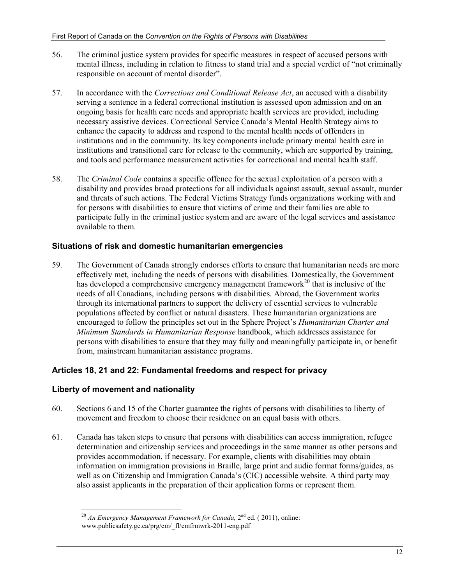- 56. The criminal justice system provides for specific measures in respect of accused persons with mental illness, including in relation to fitness to stand trial and a special verdict of "not criminally responsible on account of mental disorder".
- 57. In accordance with the *Corrections and Conditional Release Act*, an accused with a disability serving a sentence in a federal correctional institution is assessed upon admission and on an ongoing basis for health care needs and appropriate health services are provided, including necessary assistive devices. Correctional Service Canada's Mental Health Strategy aims to enhance the capacity to address and respond to the mental health needs of offenders in institutions and in the community. Its key components include primary mental health care in institutions and transitional care for release to the community, which are supported by training, and tools and performance measurement activities for correctional and mental health staff.
- 58. The *Criminal Code* contains a specific offence for the sexual exploitation of a person with a disability and provides broad protections for all individuals against assault, sexual assault, murder and threats of such actions. The Federal Victims Strategy funds organizations working with and for persons with disabilities to ensure that victims of crime and their families are able to participate fully in the criminal justice system and are aware of the legal services and assistance available to them.

## **Situations of risk and domestic humanitarian emergencies**

59. The Government of Canada strongly endorses efforts to ensure that humanitarian needs are more effectively met, including the needs of persons with disabilities. Domestically, the Government has developed a comprehensive emergency management framework<sup>20</sup> that is inclusive of the needs of all Canadians, including persons with disabilities. Abroad, the Government works through its international partners to support the delivery of essential services to vulnerable populations affected by conflict or natural disasters. These humanitarian organizations are encouraged to follow the principles set out in the Sphere Project's *Humanitarian Charter and Minimum Standards in Humanitarian Response* handbook, which addresses assistance for persons with disabilities to ensure that they may fully and meaningfully participate in, or benefit from, mainstream humanitarian assistance programs.

## **Articles 18, 21 and 22: Fundamental freedoms and respect for privacy**

## **Liberty of movement and nationality**

- 60. Sections 6 and 15 of the Charter guarantee the rights of persons with disabilities to liberty of movement and freedom to choose their residence on an equal basis with others.
- 61. Canada has taken steps to ensure that persons with disabilities can access immigration, refugee determination and citizenship services and proceedings in the same manner as other persons and provides accommodation, if necessary. For example, clients with disabilities may obtain information on immigration provisions in Braille, large print and audio format forms/guides, as well as on Citizenship and Immigration Canada's (CIC) accessible website. A third party may also assist applicants in the preparation of their application forms or represent them.

<sup>-</sup><sup>20</sup> An Emergency Management Framework for Canada, 2<sup>nd</sup> ed. (2011), online: www.publicsafety.gc.ca/prg/em/\_fl/emfrmwrk-2011-eng.pdf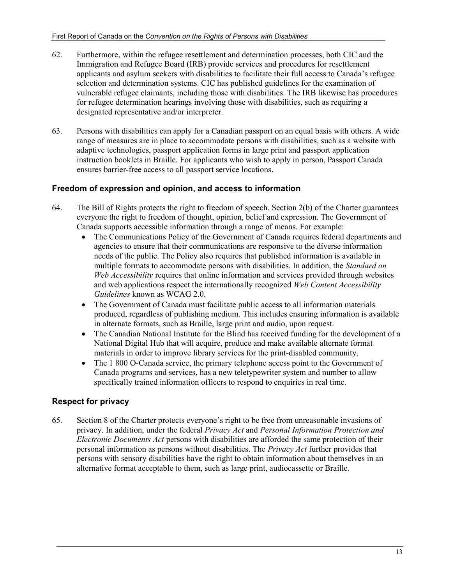- 62. Furthermore, within the refugee resettlement and determination processes, both CIC and the Immigration and Refugee Board (IRB) provide services and procedures for resettlement applicants and asylum seekers with disabilities to facilitate their full access to Canada's refugee selection and determination systems. CIC has published guidelines for the examination of vulnerable refugee claimants, including those with disabilities. The IRB likewise has procedures for refugee determination hearings involving those with disabilities, such as requiring a designated representative and/or interpreter.
- 63. Persons with disabilities can apply for a Canadian passport on an equal basis with others. A wide range of measures are in place to accommodate persons with disabilities, such as a website with adaptive technologies, passport application forms in large print and passport application instruction booklets in Braille. For applicants who wish to apply in person, Passport Canada ensures barrier-free access to all passport service locations.

## **Freedom of expression and opinion, and access to information**

- 64. The Bill of Rights protects the right to freedom of speech. Section 2(b) of the Charter guarantees everyone the right to freedom of thought, opinion, belief and expression. The Government of Canada supports accessible information through a range of means. For example:
	- The Communications Policy of the Government of Canada requires federal departments and agencies to ensure that their communications are responsive to the diverse information needs of the public. The Policy also requires that published information is available in multiple formats to accommodate persons with disabilities. In addition, the *Standard on Web Accessibility* requires that online information and services provided through websites and web applications respect the internationally recognized *Web Content Accessibility Guidelines* known as WCAG 2.0.
	- The Government of Canada must facilitate public access to all information materials produced, regardless of publishing medium. This includes ensuring information is available in alternate formats, such as Braille, large print and audio, upon request.
	- The Canadian National Institute for the Blind has received funding for the development of a National Digital Hub that will acquire, produce and make available alternate format materials in order to improve library services for the print-disabled community.
	- The 1800 O-Canada service, the primary telephone access point to the Government of Canada programs and services, has a new teletypewriter system and number to allow specifically trained information officers to respond to enquiries in real time.

## **Respect for privacy**

65. Section 8 of the Charter protects everyone's right to be free from unreasonable invasions of privacy. In addition, under the federal *Privacy Act* and *Personal Information Protection and Electronic Documents Act* persons with disabilities are afforded the same protection of their personal information as persons without disabilities. The *Privacy Act* further provides that persons with sensory disabilities have the right to obtain information about themselves in an alternative format acceptable to them, such as large print, audiocassette or Braille.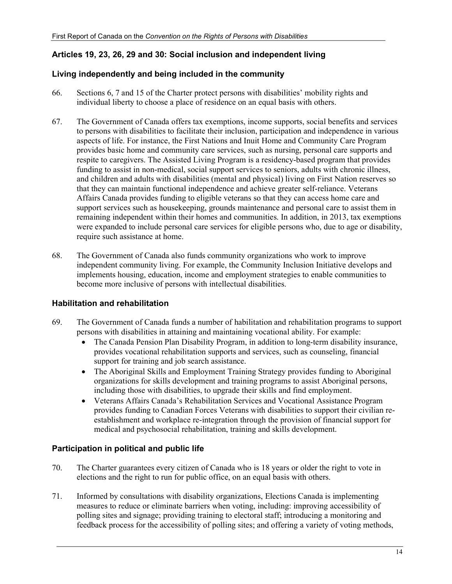## **Articles 19, 23, 26, 29 and 30: Social inclusion and independent living**

#### **Living independently and being included in the community**

- 66. Sections 6, 7 and 15 of the Charter protect persons with disabilities' mobility rights and individual liberty to choose a place of residence on an equal basis with others.
- 67. The Government of Canada offers tax exemptions, income supports, social benefits and services to persons with disabilities to facilitate their inclusion, participation and independence in various aspects of life. For instance, the First Nations and Inuit Home and Community Care Program provides basic home and community care services, such as nursing, personal care supports and respite to caregivers. The Assisted Living Program is a residency-based program that provides funding to assist in non-medical, social support services to seniors, adults with chronic illness, and children and adults with disabilities (mental and physical) living on First Nation reserves so that they can maintain functional independence and achieve greater self-reliance. Veterans Affairs Canada provides funding to eligible veterans so that they can access home care and support services such as housekeeping, grounds maintenance and personal care to assist them in remaining independent within their homes and communities. In addition, in 2013, tax exemptions were expanded to include personal care services for eligible persons who, due to age or disability, require such assistance at home.
- 68. The Government of Canada also funds community organizations who work to improve independent community living. For example, the Community Inclusion Initiative develops and implements housing, education, income and employment strategies to enable communities to become more inclusive of persons with intellectual disabilities.

## **Habilitation and rehabilitation**

- 69. The Government of Canada funds a number of habilitation and rehabilitation programs to support persons with disabilities in attaining and maintaining vocational ability. For example:
	- The Canada Pension Plan Disability Program, in addition to long-term disability insurance, provides vocational rehabilitation supports and services, such as counseling, financial support for training and job search assistance.
	- The Aboriginal Skills and Employment Training Strategy provides funding to Aboriginal organizations for skills development and training programs to assist Aboriginal persons, including those with disabilities, to upgrade their skills and find employment.
	- Veterans Affairs Canada's Rehabilitation Services and Vocational Assistance Program provides funding to Canadian Forces Veterans with disabilities to support their civilian reestablishment and workplace re-integration through the provision of financial support for medical and psychosocial rehabilitation, training and skills development.

## **Participation in political and public life**

- 70. The Charter guarantees every citizen of Canada who is 18 years or older the right to vote in elections and the right to run for public office, on an equal basis with others.
- 71. Informed by consultations with disability organizations, Elections Canada is implementing measures to reduce or eliminate barriers when voting, including: improving accessibility of polling sites and signage; providing training to electoral staff; introducing a monitoring and feedback process for the accessibility of polling sites; and offering a variety of voting methods,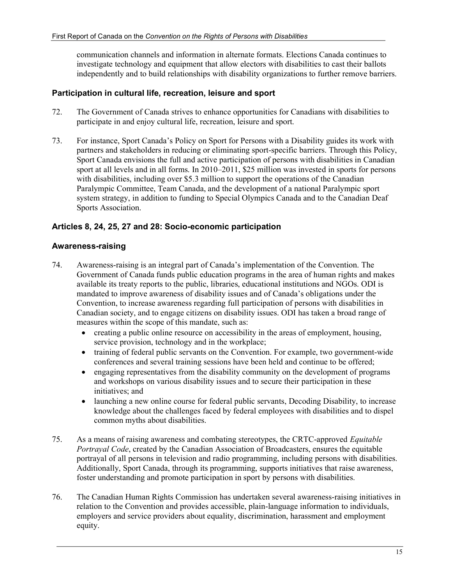communication channels and information in alternate formats. Elections Canada continues to investigate technology and equipment that allow electors with disabilities to cast their ballots independently and to build relationships with disability organizations to further remove barriers.

#### **Participation in cultural life, recreation, leisure and sport**

- 72. The Government of Canada strives to enhance opportunities for Canadians with disabilities to participate in and enjoy cultural life, recreation, leisure and sport.
- 73. For instance, Sport Canada's Policy on Sport for Persons with a Disability guides its work with partners and stakeholders in reducing or eliminating sport-specific barriers. Through this Policy, Sport Canada envisions the full and active participation of persons with disabilities in Canadian sport at all levels and in all forms. In 2010–2011, \$25 million was invested in sports for persons with disabilities, including over \$5.3 million to support the operations of the Canadian Paralympic Committee, Team Canada, and the development of a national Paralympic sport system strategy, in addition to funding to Special Olympics Canada and to the Canadian Deaf Sports Association.

#### **Articles 8, 24, 25, 27 and 28: Socio-economic participation**

#### **Awareness-raising**

- 74. Awareness-raising is an integral part of Canada's implementation of the Convention. The Government of Canada funds public education programs in the area of human rights and makes available its treaty reports to the public, libraries, educational institutions and NGOs. ODI is mandated to improve awareness of disability issues and of Canada's obligations under the Convention, to increase awareness regarding full participation of persons with disabilities in Canadian society, and to engage citizens on disability issues. ODI has taken a broad range of measures within the scope of this mandate, such as:
	- creating a public online resource on accessibility in the areas of employment, housing, service provision, technology and in the workplace;
	- training of federal public servants on the Convention. For example, two government-wide conferences and several training sessions have been held and continue to be offered;
	- engaging representatives from the disability community on the development of programs and workshops on various disability issues and to secure their participation in these initiatives; and
	- launching a new online course for federal public servants, Decoding Disability, to increase knowledge about the challenges faced by federal employees with disabilities and to dispel common myths about disabilities.
- 75. As a means of raising awareness and combating stereotypes, the CRTC-approved *Equitable Portrayal Code*, created by the Canadian Association of Broadcasters, ensures the equitable portrayal of all persons in television and radio programming, including persons with disabilities. Additionally, Sport Canada, through its programming, supports initiatives that raise awareness, foster understanding and promote participation in sport by persons with disabilities.
- 76. The Canadian Human Rights Commission has undertaken several awareness-raising initiatives in relation to the Convention and provides accessible, plain-language information to individuals, employers and service providers about equality, discrimination, harassment and employment equity.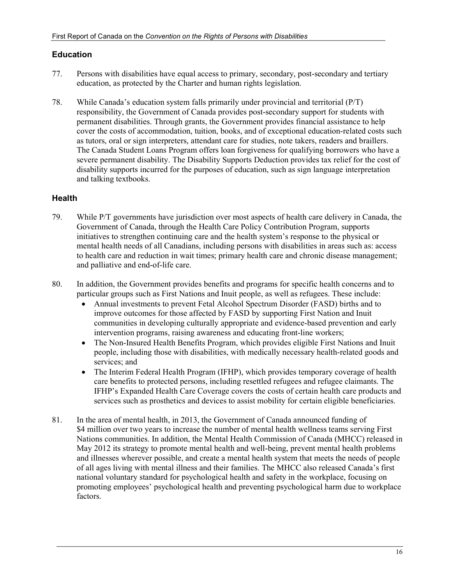#### **Education**

- 77. Persons with disabilities have equal access to primary, secondary, post-secondary and tertiary education, as protected by the Charter and human rights legislation.
- 78. While Canada's education system falls primarily under provincial and territorial (P/T) responsibility, the Government of Canada provides post-secondary support for students with permanent disabilities. Through grants, the Government provides financial assistance to help cover the costs of accommodation, tuition, books, and of exceptional education-related costs such as tutors, oral or sign interpreters, attendant care for studies, note takers, readers and braillers. The Canada Student Loans Program offers loan forgiveness for qualifying borrowers who have a severe permanent disability. The Disability Supports Deduction provides tax relief for the cost of disability supports incurred for the purposes of education, such as sign language interpretation and talking textbooks.

#### **Health**

- 79. While P/T governments have jurisdiction over most aspects of health care delivery in Canada, the Government of Canada, through the Health Care Policy Contribution Program, supports initiatives to strengthen continuing care and the health system's response to the physical or mental health needs of all Canadians, including persons with disabilities in areas such as: access to health care and reduction in wait times; primary health care and chronic disease management; and palliative and end-of-life care.
- 80. In addition, the Government provides benefits and programs for specific health concerns and to particular groups such as First Nations and Inuit people, as well as refugees. These include:
	- Annual investments to prevent Fetal Alcohol Spectrum Disorder (FASD) births and to improve outcomes for those affected by FASD by supporting First Nation and Inuit communities in developing culturally appropriate and evidence-based prevention and early intervention programs, raising awareness and educating front-line workers;
	- The Non-Insured Health Benefits Program, which provides eligible First Nations and Inuit people, including those with disabilities, with medically necessary health-related goods and services; and
	- The Interim Federal Health Program (IFHP), which provides temporary coverage of health care benefits to protected persons, including resettled refugees and refugee claimants. The IFHP's Expanded Health Care Coverage covers the costs of certain health care products and services such as prosthetics and devices to assist mobility for certain eligible beneficiaries.
- 81. In the area of mental health, in 2013, the Government of Canada announced funding of \$4 million over two years to increase the number of mental health wellness teams serving First Nations communities. In addition, the Mental Health Commission of Canada (MHCC) released in May 2012 its strategy to promote mental health and well-being, prevent mental health problems and illnesses wherever possible, and create a mental health system that meets the needs of people of all ages living with mental illness and their families. The MHCC also released Canada's first national voluntary standard for psychological health and safety in the workplace, focusing on promoting employees' psychological health and preventing psychological harm due to workplace factors.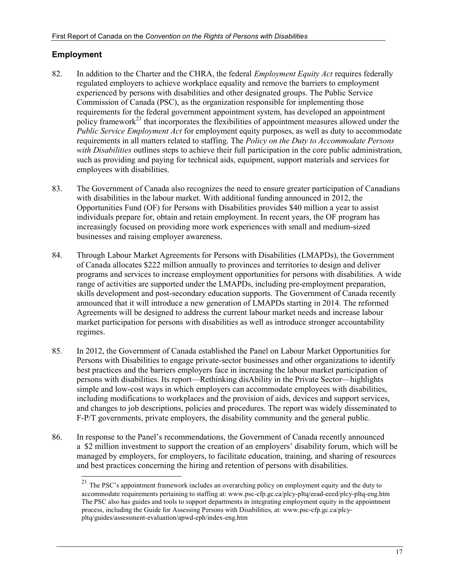## **Employment**

- 82. In addition to the Charter and the CHRA, the federal *Employment Equity Act* requires federally regulated employers to achieve workplace equality and remove the barriers to employment experienced by persons with disabilities and other designated groups. The Public Service Commission of Canada (PSC), as the organization responsible for implementing those requirements for the federal government appointment system, has developed an appointment policy framework<sup>21</sup> that incorporates the flexibilities of appointment measures allowed under the *Public Service Employment Act* for employment equity purposes, as well as duty to accommodate requirements in all matters related to staffing. The *Policy on the Duty to Accommodate Persons with Disabilities* outlines steps to achieve their full participation in the core public administration, such as providing and paying for technical aids, equipment, support materials and services for employees with disabilities.
- 83. The Government of Canada also recognizes the need to ensure greater participation of Canadians with disabilities in the labour market. With additional funding announced in 2012, the Opportunities Fund (OF) for Persons with Disabilities provides \$40 million a year to assist individuals prepare for, obtain and retain employment. In recent years, the OF program has increasingly focused on providing more work experiences with small and medium-sized businesses and raising employer awareness.
- 84. Through Labour Market Agreements for Persons with Disabilities (LMAPDs), the Government of Canada allocates \$222 million annually to provinces and territories to design and deliver programs and services to increase employment opportunities for persons with disabilities. A wide range of activities are supported under the LMAPDs, including pre-employment preparation, skills development and post-secondary education supports. The Government of Canada recently announced that it will introduce a new generation of LMAPDs starting in 2014. The reformed Agreements will be designed to address the current labour market needs and increase labour market participation for persons with disabilities as well as introduce stronger accountability regimes.
- 85. In 2012, the Government of Canada established the Panel on Labour Market Opportunities for Persons with Disabilities to engage private-sector businesses and other organizations to identify best practices and the barriers employers face in increasing the labour market participation of persons with disabilities. Its report—Rethinking disAbility in the Private Sector—highlights simple and low-cost ways in which employers can accommodate employees with disabilities, including modifications to workplaces and the provision of aids, devices and support services, and changes to job descriptions, policies and procedures. The report was widely disseminated to F-P/T governments, private employers, the disability community and the general public.
- 86. In response to the Panel's recommendations, the Government of Canada recently announced a \$2 million investment to support the creation of an employers' disability forum, which will be managed by employers, for employers, to facilitate education, training, and sharing of resources and best practices concerning the hiring and retention of persons with disabilities.

 $21\,$ The PSC's appointment framework includes an overarching policy on employment equity and the duty to accommodate requirements pertaining to staffing at: www.psc-cfp.gc.ca/plcy-pltq/eead-eeed/plcy-pltq-eng.htm The PSC also has guides and tools to support departments in integrating employment equity in the appointment process, including the Guide for Assessing Persons with Disabilities, at: www.psc-cfp.gc.ca/plcypltq/guides/assessment-evaluation/apwd-eph/index-eng.htm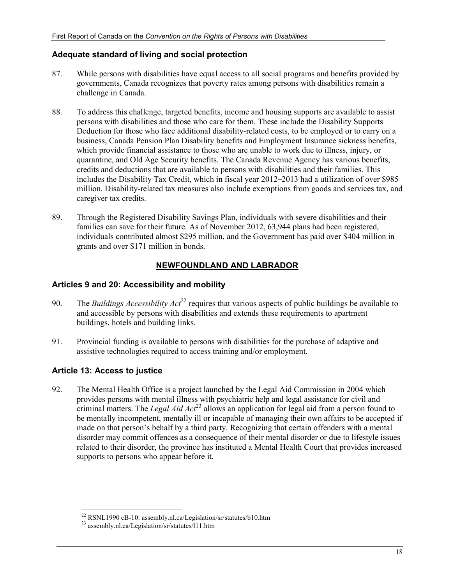## **Adequate standard of living and social protection**

- 87. While persons with disabilities have equal access to all social programs and benefits provided by governments, Canada recognizes that poverty rates among persons with disabilities remain a challenge in Canada.
- 88. To address this challenge, targeted benefits, income and housing supports are available to assist persons with disabilities and those who care for them. These include the Disability Supports Deduction for those who face additional disability-related costs, to be employed or to carry on a business, Canada Pension Plan Disability benefits and Employment Insurance sickness benefits, which provide financial assistance to those who are unable to work due to illness, injury, or quarantine, and Old Age Security benefits. The Canada Revenue Agency has various benefits, credits and deductions that are available to persons with disabilities and their families. This includes the Disability Tax Credit, which in fiscal year 2012–2013 had a utilization of over \$985 million. Disability-related tax measures also include exemptions from goods and services tax, and caregiver tax credits.
- 89. Through the Registered Disability Savings Plan, individuals with severe disabilities and their families can save for their future. As of November 2012, 63,944 plans had been registered, individuals contributed almost \$295 million, and the Government has paid over \$404 million in grants and over \$171 million in bonds.

## **NEWFOUNDLAND AND LABRADOR**

## **Articles 9 and 20: Accessibility and mobility**

- 90. The *Buildings Accessibility Act*<sup>22</sup> requires that various aspects of public buildings be available to and accessible by persons with disabilities and extends these requirements to apartment buildings, hotels and building links.
- 91. Provincial funding is available to persons with disabilities for the purchase of adaptive and assistive technologies required to access training and/or employment.

## **Article 13: Access to justice**

92. The Mental Health Office is a project launched by the Legal Aid Commission in 2004 which provides persons with mental illness with psychiatric help and legal assistance for civil and criminal matters. The *Legal Aid Act*23 allows an application for legal aid from a person found to be mentally incompetent, mentally ill or incapable of managing their own affairs to be accepted if made on that person's behalf by a third party. Recognizing that certain offenders with a mental disorder may commit offences as a consequence of their mental disorder or due to lifestyle issues related to their disorder, the province has instituted a Mental Health Court that provides increased supports to persons who appear before it.

<sup>-</sup> $^{22}$  RSNL1990 cB-10: assembly.nl.ca/Legislation/sr/statutes/b10.htm

<sup>&</sup>lt;sup>23</sup> assembly.nl.ca/Legislation/sr/statutes/l11.htm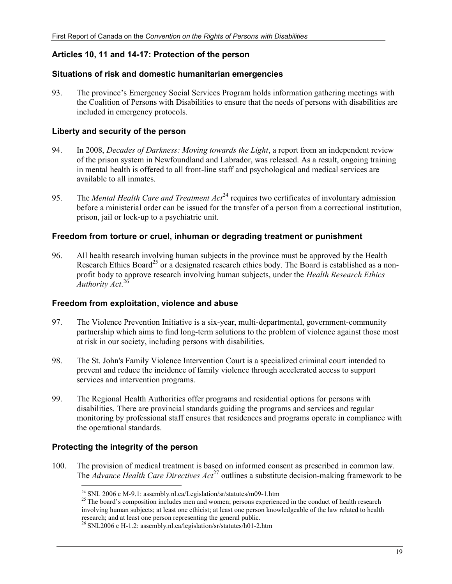#### **Articles 10, 11 and 14-17: Protection of the person**

#### **Situations of risk and domestic humanitarian emergencies**

93. The province's Emergency Social Services Program holds information gathering meetings with the Coalition of Persons with Disabilities to ensure that the needs of persons with disabilities are included in emergency protocols.

#### **Liberty and security of the person**

- 94. In 2008, *Decades of Darkness: Moving towards the Light*, a report from an independent review of the prison system in Newfoundland and Labrador, was released. As a result, ongoing training in mental health is offered to all front-line staff and psychological and medical services are available to all inmates.
- 95. The *Mental Health Care and Treatment Act*<sup>24</sup> requires two certificates of involuntary admission before a ministerial order can be issued for the transfer of a person from a correctional institution, prison, jail or lock-up to a psychiatric unit.

#### **Freedom from torture or cruel, inhuman or degrading treatment or punishment**

96. All health research involving human subjects in the province must be approved by the Health Research Ethics Board<sup>25</sup> or a designated research ethics body. The Board is established as a nonprofit body to approve research involving human subjects, under the *Health Research Ethics Authority Act*. 26

#### **Freedom from exploitation, violence and abuse**

- 97. The Violence Prevention Initiative is a six-year, multi-departmental, government-community partnership which aims to find long-term solutions to the problem of violence against those most at risk in our society, including persons with disabilities.
- 98. The St. John's Family Violence Intervention Court is a specialized criminal court intended to prevent and reduce the incidence of family violence through accelerated access to support services and intervention programs.
- 99. The Regional Health Authorities offer programs and residential options for persons with disabilities. There are provincial standards guiding the programs and services and regular monitoring by professional staff ensures that residences and programs operate in compliance with the operational standards.

#### **Protecting the integrity of the person**

-

100. The provision of medical treatment is based on informed consent as prescribed in common law. The *Advance Health Care Directives Act*27 outlines a substitute decision-making framework to be

<sup>&</sup>lt;sup>24</sup> SNL 2006 c M-9.1: assembly.nl.ca/Legislation/sr/statutes/m09-1.htm<br>
<sup>25</sup> The board's composition includes men and women; persons experienced in the conduct of health research involving human subjects; at least one ethicist; at least one person knowledgeable of the law related to health research; and at least one person representing the general public.

<sup>26</sup> SNL2006 c H-1.2: assembly.nl.ca/legislation/sr/statutes/h01-2.htm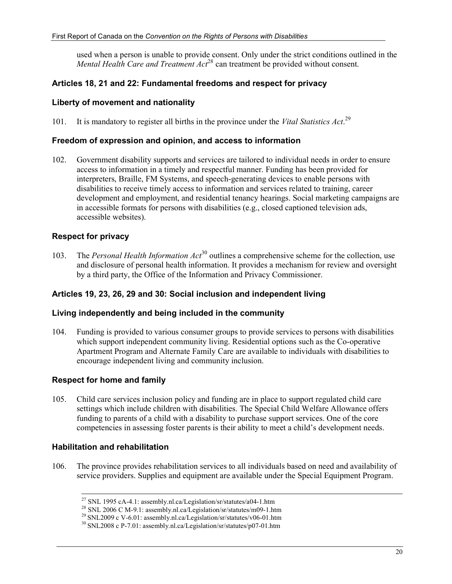used when a person is unable to provide consent. Only under the strict conditions outlined in the *Mental Health Care and Treatment Act*<sup>28</sup> can treatment be provided without consent.

## **Articles 18, 21 and 22: Fundamental freedoms and respect for privacy**

#### **Liberty of movement and nationality**

101. It is mandatory to register all births in the province under the *Vital Statistics Act*. 29

#### **Freedom of expression and opinion, and access to information**

102. Government disability supports and services are tailored to individual needs in order to ensure access to information in a timely and respectful manner. Funding has been provided for interpreters, Braille, FM Systems, and speech-generating devices to enable persons with disabilities to receive timely access to information and services related to training, career development and employment, and residential tenancy hearings. Social marketing campaigns are in accessible formats for persons with disabilities (e.g., closed captioned television ads, accessible websites).

#### **Respect for privacy**

103. The *Personal Health Information Act*30 outlines a comprehensive scheme for the collection, use and disclosure of personal health information. It provides a mechanism for review and oversight by a third party, the Office of the Information and Privacy Commissioner.

## **Articles 19, 23, 26, 29 and 30: Social inclusion and independent living**

#### **Living independently and being included in the community**

104. Funding is provided to various consumer groups to provide services to persons with disabilities which support independent community living. Residential options such as the Co-operative Apartment Program and Alternate Family Care are available to individuals with disabilities to encourage independent living and community inclusion.

## **Respect for home and family**

105. Child care services inclusion policy and funding are in place to support regulated child care settings which include children with disabilities. The Special Child Welfare Allowance offers funding to parents of a child with a disability to purchase support services. One of the core competencies in assessing foster parents is their ability to meet a child's development needs.

#### **Habilitation and rehabilitation**

106. The province provides rehabilitation services to all individuals based on need and availability of service providers. Supplies and equipment are available under the Special Equipment Program.

 $\overline{a}$  $^{27}$  SNL 1995 cA-4.1: assembly.nl.ca/Legislation/sr/statutes/a04-1.htm

<sup>&</sup>lt;sup>28</sup> SNL 2006 C M-9.1: assembly.nl.ca/Legislation/sr/statutes/m09-1.htm<br><sup>29</sup> SNL2009 c V-6.01: assembly.nl.ca/Legislation/sr/statutes/v06-01.htm

 $30$  SNL2008 c P-7.01: assembly.nl.ca/Legislation/sr/statutes/p07-01.htm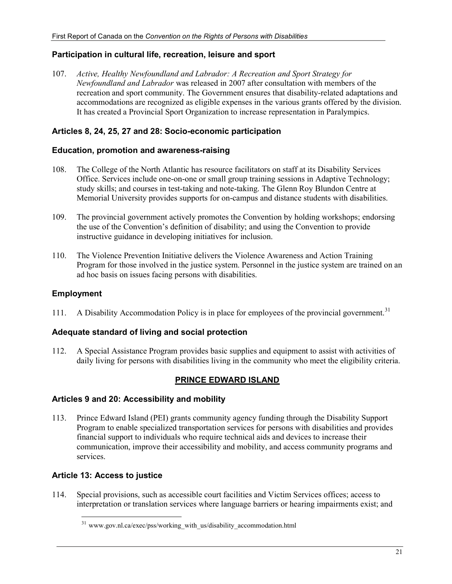#### **Participation in cultural life, recreation, leisure and sport**

107. *Active, Healthy Newfoundland and Labrador: A Recreation and Sport Strategy for Newfoundland and Labrador* was released in 2007 after consultation with members of the recreation and sport community. The Government ensures that disability-related adaptations and accommodations are recognized as eligible expenses in the various grants offered by the division. It has created a Provincial Sport Organization to increase representation in Paralympics.

#### **Articles 8, 24, 25, 27 and 28: Socio-economic participation**

#### **Education, promotion and awareness-raising**

- 108. The College of the North Atlantic has resource facilitators on staff at its Disability Services Office. Services include one-on-one or small group training sessions in Adaptive Technology; study skills; and courses in test-taking and note-taking. The Glenn Roy Blundon Centre at Memorial University provides supports for on-campus and distance students with disabilities.
- 109. The provincial government actively promotes the Convention by holding workshops; endorsing the use of the Convention's definition of disability; and using the Convention to provide instructive guidance in developing initiatives for inclusion.
- 110. The Violence Prevention Initiative delivers the Violence Awareness and Action Training Program for those involved in the justice system. Personnel in the justice system are trained on an ad hoc basis on issues facing persons with disabilities.

#### **Employment**

111. A Disability Accommodation Policy is in place for employees of the provincial government.<sup>31</sup>

#### **Adequate standard of living and social protection**

112. A Special Assistance Program provides basic supplies and equipment to assist with activities of daily living for persons with disabilities living in the community who meet the eligibility criteria.

## **PRINCE EDWARD ISLAND**

#### **Articles 9 and 20: Accessibility and mobility**

113. Prince Edward Island (PEI) grants community agency funding through the Disability Support Program to enable specialized transportation services for persons with disabilities and provides financial support to individuals who require technical aids and devices to increase their communication, improve their accessibility and mobility, and access community programs and services.

#### **Article 13: Access to justice**

-

114. Special provisions, such as accessible court facilities and Victim Services offices; access to interpretation or translation services where language barriers or hearing impairments exist; and

<sup>&</sup>lt;sup>31</sup> www.gov.nl.ca/exec/pss/working\_with\_us/disability\_accommodation.html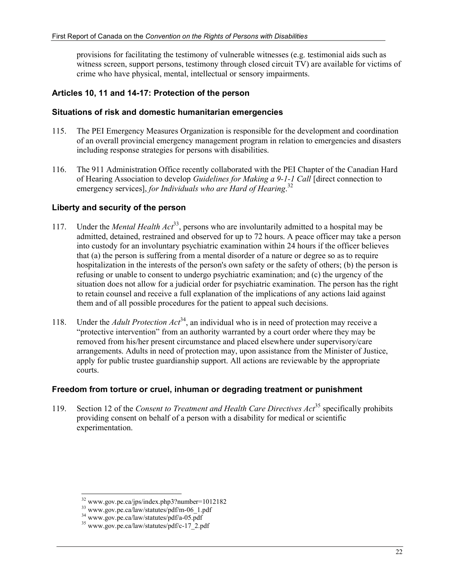provisions for facilitating the testimony of vulnerable witnesses (e.g. testimonial aids such as witness screen, support persons, testimony through closed circuit TV) are available for victims of crime who have physical, mental, intellectual or sensory impairments.

## **Articles 10, 11 and 14-17: Protection of the person**

#### **Situations of risk and domestic humanitarian emergencies**

- 115. The PEI Emergency Measures Organization is responsible for the development and coordination of an overall provincial emergency management program in relation to emergencies and disasters including response strategies for persons with disabilities.
- 116. The 911 Administration Office recently collaborated with the PEI Chapter of the Canadian Hard of Hearing Association to develop *Guidelines for Making a 9-1-1 Call* [direct connection to emergency services], *for Individuals who are Hard of Hearing*. 32

#### **Liberty and security of the person**

- 117. Under the *Mental Health Act*<sup>33</sup>, persons who are involuntarily admitted to a hospital may be admitted, detained, restrained and observed for up to 72 hours. A peace officer may take a person into custody for an involuntary psychiatric examination within 24 hours if the officer believes that (a) the person is suffering from a mental disorder of a nature or degree so as to require hospitalization in the interests of the person's own safety or the safety of others; (b) the person is refusing or unable to consent to undergo psychiatric examination; and (c) the urgency of the situation does not allow for a judicial order for psychiatric examination. The person has the right to retain counsel and receive a full explanation of the implications of any actions laid against them and of all possible procedures for the patient to appeal such decisions.
- 118. Under the *Adult Protection Act*<sup>34</sup>, an individual who is in need of protection may receive a "protective intervention" from an authority warranted by a court order where they may be removed from his/her present circumstance and placed elsewhere under supervisory/care arrangements. Adults in need of protection may, upon assistance from the Minister of Justice, apply for public trustee guardianship support. All actions are reviewable by the appropriate courts.

## **Freedom from torture or cruel, inhuman or degrading treatment or punishment**

119. Section 12 of the *Consent to Treatment and Health Care Directives Act*35 specifically prohibits providing consent on behalf of a person with a disability for medical or scientific experimentation.

<sup>-</sup>32 www.gov.pe.ca/jps/index.php3?number=1012182

 $33$  www.gov.pe.ca/law/statutes/pdf/m-06\_1.pdf

 $34$  www.gov.pe.ca/law/statutes/pdf/a-05.pdf

<sup>&</sup>lt;sup>35</sup> www.gov.pe.ca/law/statutes/pdf/c-17\_2.pdf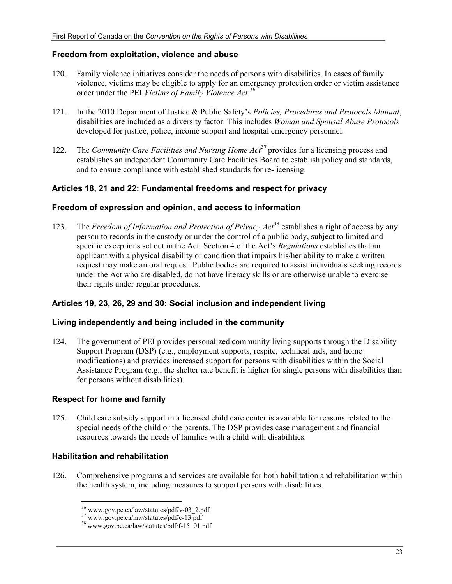#### **Freedom from exploitation, violence and abuse**

- 120. Family violence initiatives consider the needs of persons with disabilities. In cases of family violence, victims may be eligible to apply for an emergency protection order or victim assistance order under the PEI *Victims of Family Violence Act.*<sup>36</sup>
- 121. In the 2010 Department of Justice & Public Safety's *Policies, Procedures and Protocols Manual*, disabilities are included as a diversity factor. This includes *Woman and Spousal Abuse Protocols* developed for justice, police, income support and hospital emergency personnel.
- 122. The *Community Care Facilities and Nursing Home Act*37 provides for a licensing process and establishes an independent Community Care Facilities Board to establish policy and standards, and to ensure compliance with established standards for re-licensing.

## **Articles 18, 21 and 22: Fundamental freedoms and respect for privacy**

#### **Freedom of expression and opinion, and access to information**

123. The *Freedom of Information and Protection of Privacy Act*38 establishes a right of access by any person to records in the custody or under the control of a public body, subject to limited and specific exceptions set out in the Act. Section 4 of the Act's *Regulations* establishes that an applicant with a physical disability or condition that impairs his/her ability to make a written request may make an oral request. Public bodies are required to assist individuals seeking records under the Act who are disabled, do not have literacy skills or are otherwise unable to exercise their rights under regular procedures.

## **Articles 19, 23, 26, 29 and 30: Social inclusion and independent living**

#### **Living independently and being included in the community**

124. The government of PEI provides personalized community living supports through the Disability Support Program (DSP) (e.g., employment supports, respite, technical aids, and home modifications) and provides increased support for persons with disabilities within the Social Assistance Program (e.g., the shelter rate benefit is higher for single persons with disabilities than for persons without disabilities).

## **Respect for home and family**

125. Child care subsidy support in a licensed child care center is available for reasons related to the special needs of the child or the parents. The DSP provides case management and financial resources towards the needs of families with a child with disabilities.

## **Habilitation and rehabilitation**

-

126. Comprehensive programs and services are available for both habilitation and rehabilitation within the health system, including measures to support persons with disabilities.

<sup>&</sup>lt;sup>36</sup> www.gov.pe.ca/law/statutes/pdf/v-03\_2.pdf

 $37$  www.gov.pe.ca/law/statutes/pdf/c-13.pdf

<sup>38</sup> www.gov.pe.ca/law/statutes/pdf/f-15\_01.pdf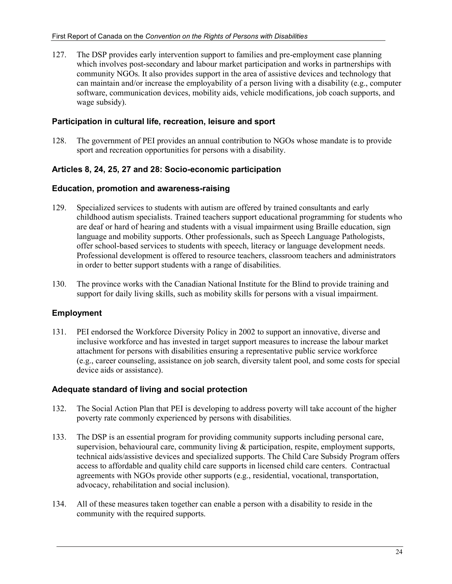127. The DSP provides early intervention support to families and pre-employment case planning which involves post-secondary and labour market participation and works in partnerships with community NGOs. It also provides support in the area of assistive devices and technology that can maintain and/or increase the employability of a person living with a disability (e.g., computer software, communication devices, mobility aids, vehicle modifications, job coach supports, and wage subsidy).

#### **Participation in cultural life, recreation, leisure and sport**

128. The government of PEI provides an annual contribution to NGOs whose mandate is to provide sport and recreation opportunities for persons with a disability.

## **Articles 8, 24, 25, 27 and 28: Socio-economic participation**

#### **Education, promotion and awareness-raising**

- 129. Specialized services to students with autism are offered by trained consultants and early childhood autism specialists. Trained teachers support educational programming for students who are deaf or hard of hearing and students with a visual impairment using Braille education, sign language and mobility supports. Other professionals, such as Speech Language Pathologists, offer school-based services to students with speech, literacy or language development needs. Professional development is offered to resource teachers, classroom teachers and administrators in order to better support students with a range of disabilities.
- 130. The province works with the Canadian National Institute for the Blind to provide training and support for daily living skills, such as mobility skills for persons with a visual impairment.

## **Employment**

131. PEI endorsed the Workforce Diversity Policy in 2002 to support an innovative, diverse and inclusive workforce and has invested in target support measures to increase the labour market attachment for persons with disabilities ensuring a representative public service workforce (e.g., career counseling, assistance on job search, diversity talent pool, and some costs for special device aids or assistance).

#### **Adequate standard of living and social protection**

- 132. The Social Action Plan that PEI is developing to address poverty will take account of the higher poverty rate commonly experienced by persons with disabilities.
- 133. The DSP is an essential program for providing community supports including personal care, supervision, behavioural care, community living  $\&$  participation, respite, employment supports, technical aids/assistive devices and specialized supports. The Child Care Subsidy Program offers access to affordable and quality child care supports in licensed child care centers. Contractual agreements with NGOs provide other supports (e.g., residential, vocational, transportation, advocacy, rehabilitation and social inclusion).
- 134. All of these measures taken together can enable a person with a disability to reside in the community with the required supports.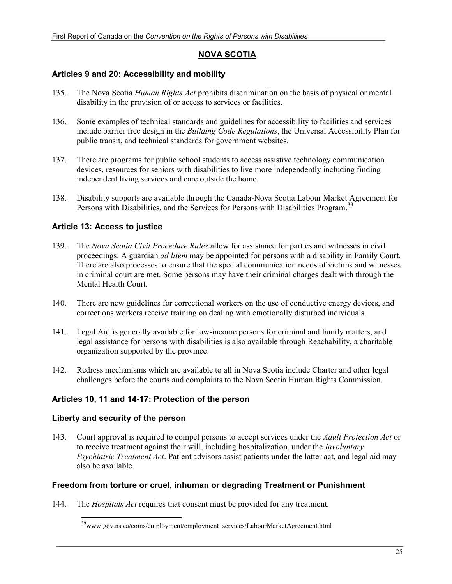## **NOVA SCOTIA**

#### **Articles 9 and 20: Accessibility and mobility**

- 135. The Nova Scotia *Human Rights Act* prohibits discrimination on the basis of physical or mental disability in the provision of or access to services or facilities.
- 136. Some examples of technical standards and guidelines for accessibility to facilities and services include barrier free design in the *Building Code Regulations*, the Universal Accessibility Plan for public transit, and technical standards for government websites.
- 137. There are programs for public school students to access assistive technology communication devices, resources for seniors with disabilities to live more independently including finding independent living services and care outside the home.
- 138. Disability supports are available through the Canada-Nova Scotia Labour Market Agreement for Persons with Disabilities, and the Services for Persons with Disabilities Program.<sup>39</sup>

#### **Article 13: Access to justice**

- 139. The *Nova Scotia Civil Procedure Rules* allow for assistance for parties and witnesses in civil proceedings. A guardian *ad litem* may be appointed for persons with a disability in Family Court. There are also processes to ensure that the special communication needs of victims and witnesses in criminal court are met. Some persons may have their criminal charges dealt with through the Mental Health Court.
- 140. There are new guidelines for correctional workers on the use of conductive energy devices, and corrections workers receive training on dealing with emotionally disturbed individuals.
- 141. Legal Aid is generally available for low-income persons for criminal and family matters, and legal assistance for persons with disabilities is also available through Reachability, a charitable organization supported by the province.
- 142. Redress mechanisms which are available to all in Nova Scotia include Charter and other legal challenges before the courts and complaints to the Nova Scotia Human Rights Commission.

#### **Articles 10, 11 and 14-17: Protection of the person**

#### **Liberty and security of the person**

-

143. Court approval is required to compel persons to accept services under the *Adult Protection Act* or to receive treatment against their will, including hospitalization, under the *Involuntary Psychiatric Treatment Act*. Patient advisors assist patients under the latter act, and legal aid may also be available.

#### **Freedom from torture or cruel, inhuman or degrading Treatment or Punishment**

144. The *Hospitals Act* requires that consent must be provided for any treatment.

<sup>&</sup>lt;sup>39</sup>www.gov.ns.ca/coms/employment/employment\_services/LabourMarketAgreement.html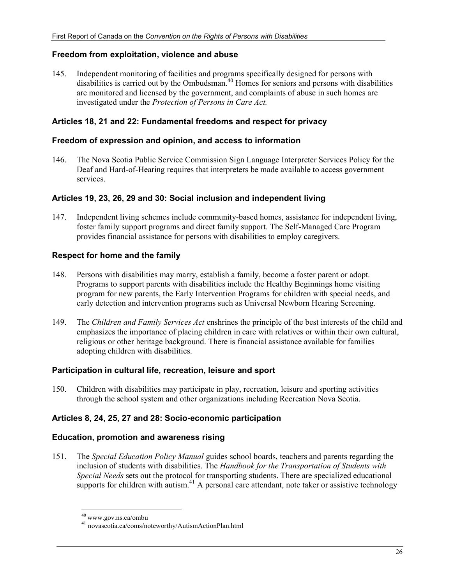#### **Freedom from exploitation, violence and abuse**

145. Independent monitoring of facilities and programs specifically designed for persons with disabilities is carried out by the Ombudsman.<sup>40</sup> Homes for seniors and persons with disabilities are monitored and licensed by the government, and complaints of abuse in such homes are investigated under the *Protection of Persons in Care Act.*

#### **Articles 18, 21 and 22: Fundamental freedoms and respect for privacy**

#### **Freedom of expression and opinion, and access to information**

146. The Nova Scotia Public Service Commission Sign Language Interpreter Services Policy for the Deaf and Hard-of-Hearing requires that interpreters be made available to access government services.

#### **Articles 19, 23, 26, 29 and 30: Social inclusion and independent living**

147. Independent living schemes include community-based homes, assistance for independent living, foster family support programs and direct family support. The Self-Managed Care Program provides financial assistance for persons with disabilities to employ caregivers.

#### **Respect for home and the family**

- 148. Persons with disabilities may marry, establish a family, become a foster parent or adopt. Programs to support parents with disabilities include the Healthy Beginnings home visiting program for new parents, the Early Intervention Programs for children with special needs, and early detection and intervention programs such as Universal Newborn Hearing Screening.
- 149. The *Children and Family Services Act* enshrines the principle of the best interests of the child and emphasizes the importance of placing children in care with relatives or within their own cultural, religious or other heritage background. There is financial assistance available for families adopting children with disabilities.

#### **Participation in cultural life, recreation, leisure and sport**

150. Children with disabilities may participate in play, recreation, leisure and sporting activities through the school system and other organizations including Recreation Nova Scotia.

## **Articles 8, 24, 25, 27 and 28: Socio-economic participation**

#### **Education, promotion and awareness rising**

151. The *Special Education Policy Manual* guides school boards, teachers and parents regarding the inclusion of students with disabilities. The *Handbook for the Transportation of Students with Special Needs* sets out the protocol for transporting students. There are specialized educational supports for children with autism.<sup>41</sup> A personal care attendant, note taker or assistive technology

 $40$  www.gov.ns.ca/ombu

<sup>&</sup>lt;sup>41</sup> novascotia.ca/coms/noteworthy/AutismActionPlan.html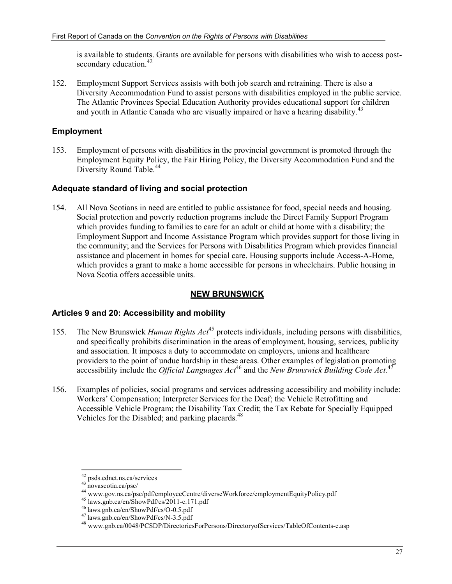is available to students. Grants are available for persons with disabilities who wish to access postsecondary education.<sup>42</sup>

152. Employment Support Services assists with both job search and retraining. There is also a Diversity Accommodation Fund to assist persons with disabilities employed in the public service. The Atlantic Provinces Special Education Authority provides educational support for children and youth in Atlantic Canada who are visually impaired or have a hearing disability.<sup>43</sup>

## **Employment**

153. Employment of persons with disabilities in the provincial government is promoted through the Employment Equity Policy, the Fair Hiring Policy, the Diversity Accommodation Fund and the Diversity Round Table.<sup>44</sup>

## **Adequate standard of living and social protection**

154. All Nova Scotians in need are entitled to public assistance for food, special needs and housing. Social protection and poverty reduction programs include the Direct Family Support Program which provides funding to families to care for an adult or child at home with a disability; the Employment Support and Income Assistance Program which provides support for those living in the community; and the Services for Persons with Disabilities Program which provides financial assistance and placement in homes for special care. Housing supports include Access-A-Home, which provides a grant to make a home accessible for persons in wheelchairs. Public housing in Nova Scotia offers accessible units.

## **NEW BRUNSWICK**

## **Articles 9 and 20: Accessibility and mobility**

- 155. The New Brunswick *Human Rights Act*45 protects individuals, including persons with disabilities, and specifically prohibits discrimination in the areas of employment, housing, services, publicity and association. It imposes a duty to accommodate on employers, unions and healthcare providers to the point of undue hardship in these areas. Other examples of legislation promoting accessibility include the *Official Languages Act*<sup>46</sup> and the *New Brunswick Building Code Act*.<sup>47</sup>
- 156. Examples of policies, social programs and services addressing accessibility and mobility include: Workers' Compensation; Interpreter Services for the Deaf; the Vehicle Retrofitting and Accessible Vehicle Program; the Disability Tax Credit; the Tax Rebate for Specially Equipped Vehicles for the Disabled; and parking placards. $48$

-

<sup>42</sup> psds.ednet.ns.ca/services

<sup>43</sup> novascotia.ca/psc/<br>
44 www.gov.ns.ca/psc/pdf/employeeCentre/diverseWorkforce/employmentEquityPolicy.pdf

<sup>&</sup>lt;sup>45</sup> laws.gnb.ca/en/ShowPdf/cs/2011-c.171.pdf<br><sup>46</sup> laws.gnb.ca/en/ShowPdf/cs/O-0.5.pdf

<sup>&</sup>lt;sup>47</sup> laws.gnb.ca/en/ShowPdf/cs/N-3.5.pdf<br><sup>48</sup> www.gnb.ca/0048/PCSDP/DirectoriesForPersons/DirectoryofServices/TableOfContents-e.asp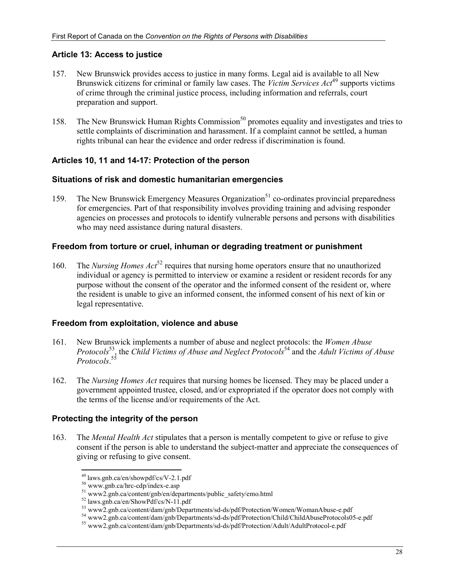## **Article 13: Access to justice**

- 157. New Brunswick provides access to justice in many forms. Legal aid is available to all New Brunswick citizens for criminal or family law cases. The *Victim Services Act*49 supports victims of crime through the criminal justice process, including information and referrals, court preparation and support.
- 158. The New Brunswick Human Rights Commission<sup>50</sup> promotes equality and investigates and tries to settle complaints of discrimination and harassment. If a complaint cannot be settled, a human rights tribunal can hear the evidence and order redress if discrimination is found.

## **Articles 10, 11 and 14-17: Protection of the person**

#### **Situations of risk and domestic humanitarian emergencies**

159. The New Brunswick Emergency Measures Organization<sup>51</sup> co-ordinates provincial preparedness for emergencies. Part of that responsibility involves providing training and advising responder agencies on processes and protocols to identify vulnerable persons and persons with disabilities who may need assistance during natural disasters.

#### **Freedom from torture or cruel, inhuman or degrading treatment or punishment**

160. The *Nursing Homes Act*<sup>52</sup> requires that nursing home operators ensure that no unauthorized individual or agency is permitted to interview or examine a resident or resident records for any purpose without the consent of the operator and the informed consent of the resident or, where the resident is unable to give an informed consent, the informed consent of his next of kin or legal representative.

#### **Freedom from exploitation, violence and abuse**

- 161. New Brunswick implements a number of abuse and neglect protocols: the *Women Abuse Protocols*53, the *Child Victims of Abuse and Neglect Protocols*54 and the *Adult Victims of Abuse Protocols*. 55
- 162. The *Nursing Homes Act* requires that nursing homes be licensed. They may be placed under a government appointed trustee, closed, and/or expropriated if the operator does not comply with the terms of the license and/or requirements of the Act.

## **Protecting the integrity of the person**

163. The *Mental Health Act* stipulates that a person is mentally competent to give or refuse to give consent if the person is able to understand the subject-matter and appreciate the consequences of giving or refusing to give consent.

<sup>&</sup>lt;sup>49</sup> laws.gnb.ca/en/showpdf/cs/V-2.1.pdf

<sup>&</sup>lt;sup>50</sup> www.gnb.ca/hrc-cdp/index-e.asp<br>
<sup>51</sup> www2.gnb.ca/content/gnb/en/departments/public\_safety/emo.html<br>
<sup>52</sup> laws.gnb.ca/en/ShowPdf/cs/N-11.pdf

<sup>&</sup>lt;sup>53</sup> www2.gnb.ca/content/dam/gnb/Departments/sd-ds/pdf/Protection/Women/WomanAbuse-e.pdf

<sup>54</sup> www2.gnb.ca/content/dam/gnb/Departments/sd-ds/pdf/Protection/Child/ChildAbuseProtocols05-e.pdf

<sup>55</sup> www2.gnb.ca/content/dam/gnb/Departments/sd-ds/pdf/Protection/Adult/AdultProtocol-e.pdf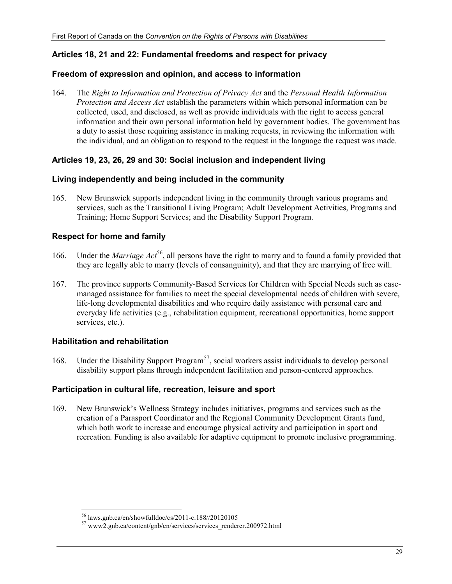## **Articles 18, 21 and 22: Fundamental freedoms and respect for privacy**

#### **Freedom of expression and opinion, and access to information**

164. The *Right to Information and Protection of Privacy Act* and the *Personal Health Information Protection and Access Act* establish the parameters within which personal information can be collected, used, and disclosed, as well as provide individuals with the right to access general information and their own personal information held by government bodies. The government has a duty to assist those requiring assistance in making requests, in reviewing the information with the individual, and an obligation to respond to the request in the language the request was made.

#### **Articles 19, 23, 26, 29 and 30: Social inclusion and independent living**

#### **Living independently and being included in the community**

165. New Brunswick supports independent living in the community through various programs and services, such as the Transitional Living Program; Adult Development Activities, Programs and Training; Home Support Services; and the Disability Support Program.

#### **Respect for home and family**

- 166. Under the *Marriage Act*<sup>56</sup>, all persons have the right to marry and to found a family provided that they are legally able to marry (levels of consanguinity), and that they are marrying of free will.
- 167. The province supports Community-Based Services for Children with Special Needs such as casemanaged assistance for families to meet the special developmental needs of children with severe, life-long developmental disabilities and who require daily assistance with personal care and everyday life activities (e.g., rehabilitation equipment, recreational opportunities, home support services, etc.).

#### **Habilitation and rehabilitation**

168. Under the Disability Support Program<sup>57</sup>, social workers assist individuals to develop personal disability support plans through independent facilitation and person-centered approaches.

#### **Participation in cultural life, recreation, leisure and sport**

169. New Brunswick's Wellness Strategy includes initiatives, programs and services such as the creation of a Parasport Coordinator and the Regional Community Development Grants fund, which both work to increase and encourage physical activity and participation in sport and recreation. Funding is also available for adaptive equipment to promote inclusive programming.

<sup>-</sup>56 laws.gnb.ca/en/showfulldoc/cs/2011-c.188//20120105

<sup>57</sup> www2.gnb.ca/content/gnb/en/services/services\_renderer.200972.html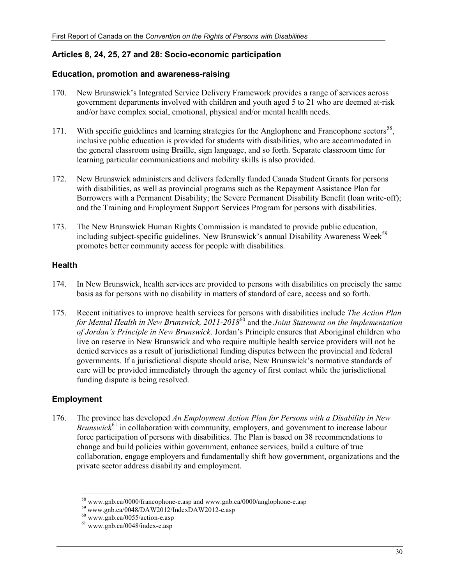## **Articles 8, 24, 25, 27 and 28: Socio-economic participation**

#### **Education, promotion and awareness-raising**

- 170. New Brunswick's Integrated Service Delivery Framework provides a range of services across government departments involved with children and youth aged 5 to 21 who are deemed at-risk and/or have complex social, emotional, physical and/or mental health needs.
- 171. With specific guidelines and learning strategies for the Anglophone and Francophone sectors<sup>58</sup>, inclusive public education is provided for students with disabilities, who are accommodated in the general classroom using Braille, sign language, and so forth. Separate classroom time for learning particular communications and mobility skills is also provided.
- 172. New Brunswick administers and delivers federally funded Canada Student Grants for persons with disabilities, as well as provincial programs such as the Repayment Assistance Plan for Borrowers with a Permanent Disability; the Severe Permanent Disability Benefit (loan write-off); and the Training and Employment Support Services Program for persons with disabilities.
- 173. The New Brunswick Human Rights Commission is mandated to provide public education, including subject-specific guidelines. New Brunswick's annual Disability Awareness Week<sup>59</sup> promotes better community access for people with disabilities.

## **Health**

- 174. In New Brunswick, health services are provided to persons with disabilities on precisely the same basis as for persons with no disability in matters of standard of care, access and so forth.
- 175. Recent initiatives to improve health services for persons with disabilities include *The Action Plan for Mental Health in New Brunswick, 2011-2018*60 and the *Joint Statement on the Implementation of Jordan's Principle in New Brunswick*. Jordan's Principle ensures that Aboriginal children who live on reserve in New Brunswick and who require multiple health service providers will not be denied services as a result of jurisdictional funding disputes between the provincial and federal governments. If a jurisdictional dispute should arise, New Brunswick's normative standards of care will be provided immediately through the agency of first contact while the jurisdictional funding dispute is being resolved.

## **Employment**

176. The province has developed *An Employment Action Plan for Persons with a Disability in New Brunswick*<sup>61</sup> in collaboration with community, employers, and government to increase labour force participation of persons with disabilities. The Plan is based on 38 recommendations to change and build policies within government, enhance services, build a culture of true collaboration, engage employers and fundamentally shift how government, organizations and the private sector address disability and employment.

<sup>-</sup><sup>58</sup> www.gnb.ca/0000/francophone-e.asp and www.gnb.ca/0000/anglophone-e.asp

 $^{59}$  www.gnb.ca/0048/DAW2012/IndexDAW2012-e.asp 60 www.gnb.ca/0055/action-e.asp

 $61$  www.gnb.ca/0048/index-e.asp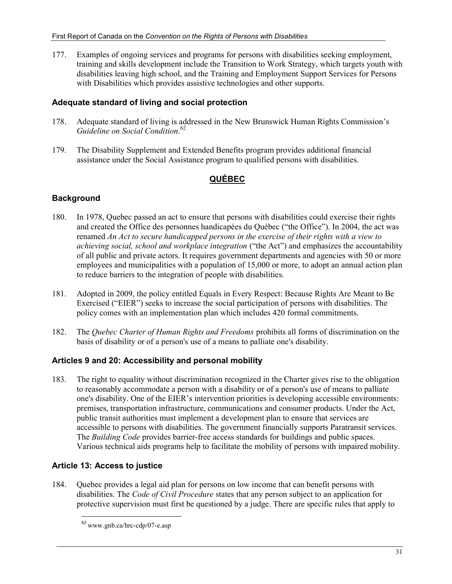177. Examples of ongoing services and programs for persons with disabilities seeking employment, training and skills development include the Transition to Work Strategy, which targets youth with disabilities leaving high school, and the Training and Employment Support Services for Persons with Disabilities which provides assistive technologies and other supports.

## **Adequate standard of living and social protection**

- 178. Adequate standard of living is addressed in the New Brunswick Human Rights Commission's *Guideline on Social Condition*. 62
- 179. The Disability Supplement and Extended Benefits program provides additional financial assistance under the Social Assistance program to qualified persons with disabilities.

## **QUÉBEC**

## **Background**

- 180. In 1978, Quebec passed an act to ensure that persons with disabilities could exercise their rights and created the Office des personnes handicapées du Québec ("the Office"). In 2004, the act was renamed *An Act to secure handicapped persons in the exercise of their rights with a view to achieving social, school and workplace integration* ("the Act") and emphasizes the accountability of all public and private actors. It requires government departments and agencies with 50 or more employees and municipalities with a population of 15,000 or more, to adopt an annual action plan to reduce barriers to the integration of people with disabilities.
- 181. Adopted in 2009, the policy entitled Equals in Every Respect: Because Rights Are Meant to Be Exercised ("EIER") seeks to increase the social participation of persons with disabilities. The policy comes with an implementation plan which includes 420 formal commitments.
- 182. The *Quebec Charter of Human Rights and Freedoms* prohibits all forms of discrimination on the basis of disability or of a person's use of a means to palliate one's disability.

## **Articles 9 and 20: Accessibility and personal mobility**

183. The right to equality without discrimination recognized in the Charter gives rise to the obligation to reasonably accommodate a person with a disability or of a person's use of means to palliate one's disability. One of the EIER's intervention priorities is developing accessible environments: premises, transportation infrastructure, communications and consumer products. Under the Act, public transit authorities must implement a development plan to ensure that services are accessible to persons with disabilities. The government financially supports Paratransit services. The *Building Code* provides barrier-free access standards for buildings and public spaces. Various technical aids programs help to facilitate the mobility of persons with impaired mobility.

## **Article 13: Access to justice**

-

184. Quebec provides a legal aid plan for persons on low income that can benefit persons with disabilities. The *Code of Civil Procedure* states that any person subject to an application for protective supervision must first be questioned by a judge. There are specific rules that apply to

 $62$  www.gnb.ca/hrc-cdp/07-e.asp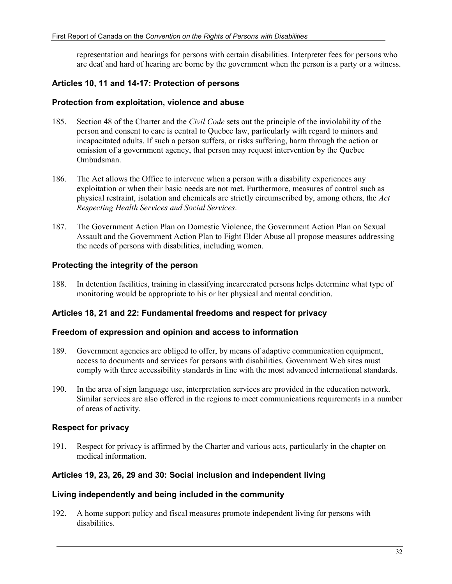representation and hearings for persons with certain disabilities. Interpreter fees for persons who are deaf and hard of hearing are borne by the government when the person is a party or a witness.

## **Articles 10, 11 and 14-17: Protection of persons**

#### **Protection from exploitation, violence and abuse**

- 185. Section 48 of the Charter and the *Civil Code* sets out the principle of the inviolability of the person and consent to care is central to Quebec law, particularly with regard to minors and incapacitated adults. If such a person suffers, or risks suffering, harm through the action or omission of a government agency, that person may request intervention by the Quebec Ombudsman.
- 186. The Act allows the Office to intervene when a person with a disability experiences any exploitation or when their basic needs are not met. Furthermore, measures of control such as physical restraint, isolation and chemicals are strictly circumscribed by, among others, the *Act Respecting Health Services and Social Services*.
- 187. The Government Action Plan on Domestic Violence, the Government Action Plan on Sexual Assault and the Government Action Plan to Fight Elder Abuse all propose measures addressing the needs of persons with disabilities, including women.

## **Protecting the integrity of the person**

188. In detention facilities, training in classifying incarcerated persons helps determine what type of monitoring would be appropriate to his or her physical and mental condition.

## **Articles 18, 21 and 22: Fundamental freedoms and respect for privacy**

#### **Freedom of expression and opinion and access to information**

- 189. Government agencies are obliged to offer, by means of adaptive communication equipment, access to documents and services for persons with disabilities. Government Web sites must comply with three accessibility standards in line with the most advanced international standards.
- 190. In the area of sign language use, interpretation services are provided in the education network. Similar services are also offered in the regions to meet communications requirements in a number of areas of activity.

#### **Respect for privacy**

191. Respect for privacy is affirmed by the Charter and various acts, particularly in the chapter on medical information.

## **Articles 19, 23, 26, 29 and 30: Social inclusion and independent living**

#### **Living independently and being included in the community**

192. A home support policy and fiscal measures promote independent living for persons with disabilities.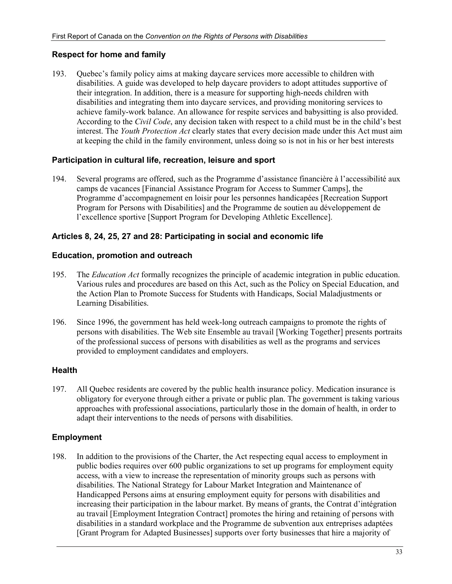#### **Respect for home and family**

193. Quebec's family policy aims at making daycare services more accessible to children with disabilities. A guide was developed to help daycare providers to adopt attitudes supportive of their integration. In addition, there is a measure for supporting high-needs children with disabilities and integrating them into daycare services, and providing monitoring services to achieve family-work balance. An allowance for respite services and babysitting is also provided. According to the *Civil Code*, any decision taken with respect to a child must be in the child's best interest. The *Youth Protection Act* clearly states that every decision made under this Act must aim at keeping the child in the family environment, unless doing so is not in his or her best interests

#### **Participation in cultural life, recreation, leisure and sport**

194. Several programs are offered, such as the Programme d'assistance financière à l'accessibilité aux camps de vacances [Financial Assistance Program for Access to Summer Camps], the Programme d'accompagnement en loisir pour les personnes handicapées [Recreation Support Program for Persons with Disabilities] and the Programme de soutien au développement de l'excellence sportive [Support Program for Developing Athletic Excellence].

#### **Articles 8, 24, 25, 27 and 28: Participating in social and economic life**

#### **Education, promotion and outreach**

- 195. The *Education Act* formally recognizes the principle of academic integration in public education. Various rules and procedures are based on this Act, such as the Policy on Special Education, and the Action Plan to Promote Success for Students with Handicaps, Social Maladjustments or Learning Disabilities.
- 196. Since 1996, the government has held week-long outreach campaigns to promote the rights of persons with disabilities. The Web site Ensemble au travail [Working Together] presents portraits of the professional success of persons with disabilities as well as the programs and services provided to employment candidates and employers.

#### **Health**

197. All Quebec residents are covered by the public health insurance policy. Medication insurance is obligatory for everyone through either a private or public plan. The government is taking various approaches with professional associations, particularly those in the domain of health, in order to adapt their interventions to the needs of persons with disabilities.

#### **Employment**

198. In addition to the provisions of the Charter, the Act respecting equal access to employment in public bodies requires over 600 public organizations to set up programs for employment equity access, with a view to increase the representation of minority groups such as persons with disabilities. The National Strategy for Labour Market Integration and Maintenance of Handicapped Persons aims at ensuring employment equity for persons with disabilities and increasing their participation in the labour market. By means of grants, the Contrat d'intégration au travail [Employment Integration Contract] promotes the hiring and retaining of persons with disabilities in a standard workplace and the Programme de subvention aux entreprises adaptées [Grant Program for Adapted Businesses] supports over forty businesses that hire a majority of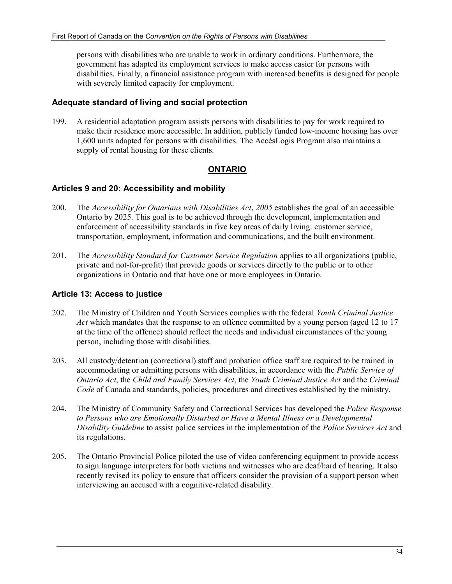persons with disabilities who are unable to work in ordinary conditions. Furthermore, the government has adapted its employment services to make access easier for persons with disabilities. Finally, a financial assistance program with increased benefits is designed for people with severely limited capacity for employment.

#### **Adequate standard of living and social protection**

199. A residential adaptation program assists persons with disabilities to pay for work required to make their residence more accessible. In addition, publicly funded low-income housing has over 1,600 units adapted for persons with disabilities. The AccèsLogis Program also maintains a supply of rental housing for these clients.

## **ONTARIO**

#### **Articles 9 and 20: Accessibility and mobility**

- 200. The *Accessibility for Ontarians with Disabilities Act*, *2005* establishes the goal of an accessible Ontario by 2025. This goal is to be achieved through the development, implementation and enforcement of accessibility standards in five key areas of daily living: customer service, transportation, employment, information and communications, and the built environment.
- 201. The *Accessibility Standard for Customer Service Regulation* applies to all organizations (public, private and not-for-profit) that provide goods or services directly to the public or to other organizations in Ontario and that have one or more employees in Ontario.

## **Article 13: Access to justice**

- 202. The Ministry of Children and Youth Services complies with the federal *Youth Criminal Justice Act* which mandates that the response to an offence committed by a young person (aged 12 to 17 at the time of the offence) should reflect the needs and individual circumstances of the young person, including those with disabilities.
- 203. All custody/detention (correctional) staff and probation office staff are required to be trained in accommodating or admitting persons with disabilities, in accordance with the *Public Service of Ontario Act*, the *Child and Family Services Act*, the *Youth Criminal Justice Act* and the *Criminal Code* of Canada and standards, policies, procedures and directives established by the ministry.
- 204. The Ministry of Community Safety and Correctional Services has developed the *Police Response to Persons who are Emotionally Disturbed or Have a Mental Illness or a Developmental Disability Guideline* to assist police services in the implementation of the *Police Services Act* and its regulations.
- 205. The Ontario Provincial Police piloted the use of video conferencing equipment to provide access to sign language interpreters for both victims and witnesses who are deaf/hard of hearing. It also recently revised its policy to ensure that officers consider the provision of a support person when interviewing an accused with a cognitive-related disability.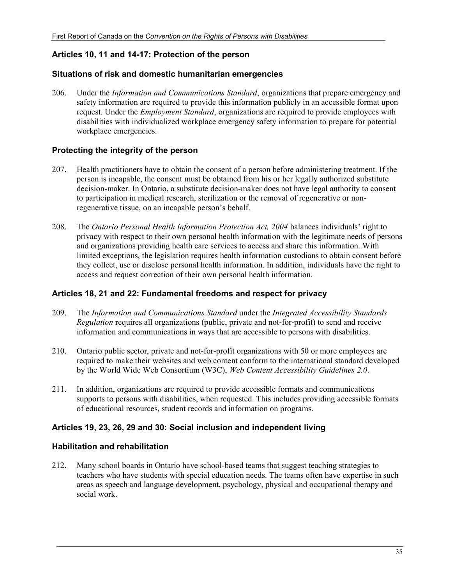#### **Articles 10, 11 and 14-17: Protection of the person**

#### **Situations of risk and domestic humanitarian emergencies**

206. Under the *Information and Communications Standard*, organizations that prepare emergency and safety information are required to provide this information publicly in an accessible format upon request. Under the *Employment Standard*, organizations are required to provide employees with disabilities with individualized workplace emergency safety information to prepare for potential workplace emergencies.

#### **Protecting the integrity of the person**

- 207. Health practitioners have to obtain the consent of a person before administering treatment. If the person is incapable, the consent must be obtained from his or her legally authorized substitute decision-maker. In Ontario, a substitute decision-maker does not have legal authority to consent to participation in medical research, sterilization or the removal of regenerative or nonregenerative tissue, on an incapable person's behalf.
- 208. The *Ontario Personal Health Information Protection Act, 2004* balances individuals' right to privacy with respect to their own personal health information with the legitimate needs of persons and organizations providing health care services to access and share this information. With limited exceptions, the legislation requires health information custodians to obtain consent before they collect, use or disclose personal health information. In addition, individuals have the right to access and request correction of their own personal health information.

#### **Articles 18, 21 and 22: Fundamental freedoms and respect for privacy**

- 209. The *Information and Communications Standard* under the *Integrated Accessibility Standards Regulation* requires all organizations (public, private and not-for-profit) to send and receive information and communications in ways that are accessible to persons with disabilities.
- 210. Ontario public sector, private and not-for-profit organizations with 50 or more employees are required to make their websites and web content conform to the international standard developed by the World Wide Web Consortium (W3C), *Web Content Accessibility Guidelines 2.0*.
- 211. In addition, organizations are required to provide accessible formats and communications supports to persons with disabilities, when requested. This includes providing accessible formats of educational resources, student records and information on programs.

## **Articles 19, 23, 26, 29 and 30: Social inclusion and independent living**

#### **Habilitation and rehabilitation**

212. Many school boards in Ontario have school-based teams that suggest teaching strategies to teachers who have students with special education needs. The teams often have expertise in such areas as speech and language development, psychology, physical and occupational therapy and social work.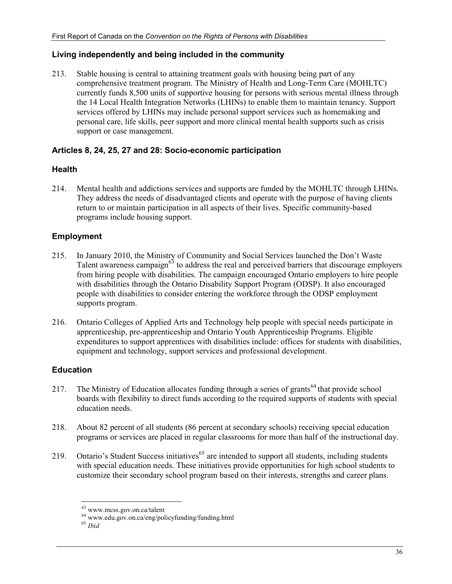## **Living independently and being included in the community**

213. Stable housing is central to attaining treatment goals with housing being part of any comprehensive treatment program. The Ministry of Health and Long-Term Care (MOHLTC) currently funds 8,500 units of supportive housing for persons with serious mental illness through the 14 Local Health Integration Networks (LHINs) to enable them to maintain tenancy. Support services offered by LHINs may include personal support services such as homemaking and personal care, life skills, peer support and more clinical mental health supports such as crisis support or case management.

## **Articles 8, 24, 25, 27 and 28: Socio-economic participation**

## **Health**

214. Mental health and addictions services and supports are funded by the MOHLTC through LHINs. They address the needs of disadvantaged clients and operate with the purpose of having clients return to or maintain participation in all aspects of their lives. Specific community-based programs include housing support.

## **Employment**

- 215. In January 2010, the Ministry of Community and Social Services launched the Don't Waste Talent awareness campaign<sup> $63$ </sup> to address the real and perceived barriers that discourage employers from hiring people with disabilities. The campaign encouraged Ontario employers to hire people with disabilities through the Ontario Disability Support Program (ODSP). It also encouraged people with disabilities to consider entering the workforce through the ODSP employment supports program.
- 216. Ontario Colleges of Applied Arts and Technology help people with special needs participate in apprenticeship, pre-apprenticeship and Ontario Youth Apprenticeship Programs. Eligible expenditures to support apprentices with disabilities include: offices for students with disabilities, equipment and technology, support services and professional development.

## **Education**

- 217. The Ministry of Education allocates funding through a series of grants<sup>64</sup> that provide school boards with flexibility to direct funds according to the required supports of students with special education needs.
- 218. About 82 percent of all students (86 percent at secondary schools) receiving special education programs or services are placed in regular classrooms for more than half of the instructional day.
- 219. Ontario's Student Success initiatives<sup> $65$ </sup> are intended to support all students, including students with special education needs. These initiatives provide opportunities for high school students to customize their secondary school program based on their interests, strengths and career plans.

<sup>-</sup>63 www.mcss.gov.on.ca/talent

<sup>64</sup> www.edu.gov.on.ca/eng/policyfunding/funding.html

<sup>65</sup> *Ibid*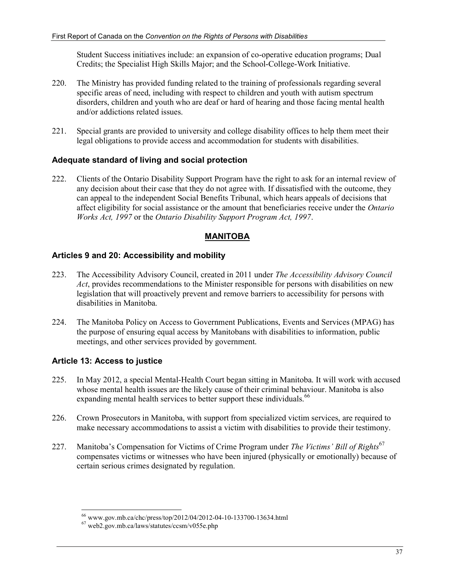Student Success initiatives include: an expansion of co-operative education programs; Dual Credits; the Specialist High Skills Major; and the School-College-Work Initiative.

- 220. The Ministry has provided funding related to the training of professionals regarding several specific areas of need, including with respect to children and youth with autism spectrum disorders, children and youth who are deaf or hard of hearing and those facing mental health and/or addictions related issues.
- 221. Special grants are provided to university and college disability offices to help them meet their legal obligations to provide access and accommodation for students with disabilities.

## **Adequate standard of living and social protection**

222. Clients of the Ontario Disability Support Program have the right to ask for an internal review of any decision about their case that they do not agree with. If dissatisfied with the outcome, they can appeal to the independent Social Benefits Tribunal, which hears appeals of decisions that affect eligibility for social assistance or the amount that beneficiaries receive under the *Ontario Works Act, 1997* or the *Ontario Disability Support Program Act, 1997*.

## **MANITOBA**

## **Articles 9 and 20: Accessibility and mobility**

- 223. The Accessibility Advisory Council, created in 2011 under *The Accessibility Advisory Council Act*, provides recommendations to the Minister responsible for persons with disabilities on new legislation that will proactively prevent and remove barriers to accessibility for persons with disabilities in Manitoba.
- 224. The Manitoba Policy on Access to Government Publications, Events and Services (MPAG) has the purpose of ensuring equal access by Manitobans with disabilities to information, public meetings, and other services provided by government.

## **Article 13: Access to justice**

- 225. In May 2012, a special Mental-Health Court began sitting in Manitoba. It will work with accused whose mental health issues are the likely cause of their criminal behaviour. Manitoba is also expanding mental health services to better support these individuals.<sup>66</sup>
- 226. Crown Prosecutors in Manitoba, with support from specialized victim services, are required to make necessary accommodations to assist a victim with disabilities to provide their testimony.
- 227. Manitoba's Compensation for Victims of Crime Program under *The Victims' Bill of Rights*<sup>67</sup> compensates victims or witnesses who have been injured (physically or emotionally) because of certain serious crimes designated by regulation.

<sup>-</sup>66 www.gov.mb.ca/chc/press/top/2012/04/2012-04-10-133700-13634.html

<sup>67</sup> web2.gov.mb.ca/laws/statutes/ccsm/v055e.php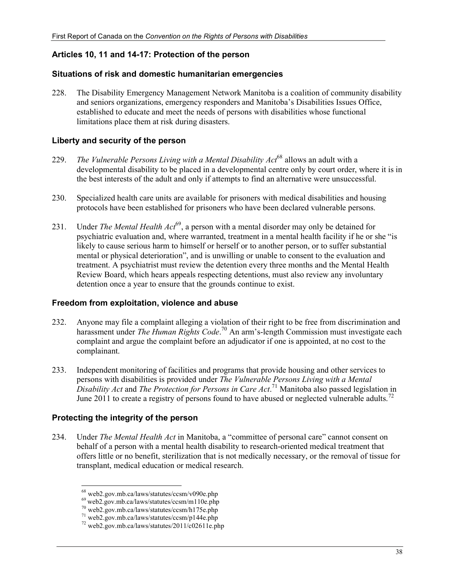## **Articles 10, 11 and 14-17: Protection of the person**

#### **Situations of risk and domestic humanitarian emergencies**

228. The Disability Emergency Management Network Manitoba is a coalition of community disability and seniors organizations, emergency responders and Manitoba's Disabilities Issues Office, established to educate and meet the needs of persons with disabilities whose functional limitations place them at risk during disasters.

#### **Liberty and security of the person**

- 229. *The Vulnerable Persons Living with a Mental Disability Act*68 allows an adult with a developmental disability to be placed in a developmental centre only by court order, where it is in the best interests of the adult and only if attempts to find an alternative were unsuccessful.
- 230. Specialized health care units are available for prisoners with medical disabilities and housing protocols have been established for prisoners who have been declared vulnerable persons.
- 231. Under *The Mental Health Act*<sup>69</sup>, a person with a mental disorder may only be detained for psychiatric evaluation and, where warranted, treatment in a mental health facility if he or she "is likely to cause serious harm to himself or herself or to another person, or to suffer substantial mental or physical deterioration", and is unwilling or unable to consent to the evaluation and treatment. A psychiatrist must review the detention every three months and the Mental Health Review Board, which hears appeals respecting detentions, must also review any involuntary detention once a year to ensure that the grounds continue to exist.

#### **Freedom from exploitation, violence and abuse**

- 232. Anyone may file a complaint alleging a violation of their right to be free from discrimination and harassment under *The Human Rights Code*. 70 An arm's-length Commission must investigate each complaint and argue the complaint before an adjudicator if one is appointed, at no cost to the complainant.
- 233. Independent monitoring of facilities and programs that provide housing and other services to persons with disabilities is provided under *The Vulnerable Persons Living with a Mental Disability Act* and *The Protection for Persons in Care Act*. 71 Manitoba also passed legislation in June 2011 to create a registry of persons found to have abused or neglected vulnerable adults.<sup>72</sup>

## **Protecting the integrity of the person**

-

234. Under *The Mental Health Act* in Manitoba, a "committee of personal care" cannot consent on behalf of a person with a mental health disability to research-oriented medical treatment that offers little or no benefit, sterilization that is not medically necessary, or the removal of tissue for transplant, medical education or medical research.

<sup>68</sup> web2.gov.mb.ca/laws/statutes/ccsm/v090e.php

 $^{69}$  web2.gov.mb.ca/laws/statutes/ccsm/m110e.php<br> $^{70}$  web2.gov.mb.ca/laws/statutes/ccsm/h175e.php

 $71$  web2.gov.mb.ca/laws/statutes/ccsm/p144e.php

<sup>72</sup> web2.gov.mb.ca/laws/statutes/2011/c02611e.php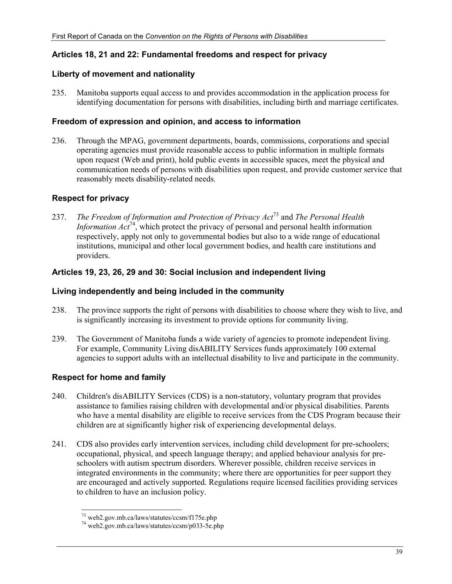## **Articles 18, 21 and 22: Fundamental freedoms and respect for privacy**

#### **Liberty of movement and nationality**

235. Manitoba supports equal access to and provides accommodation in the application process for identifying documentation for persons with disabilities, including birth and marriage certificates.

#### **Freedom of expression and opinion, and access to information**

236. Through the MPAG, government departments, boards, commissions, corporations and special operating agencies must provide reasonable access to public information in multiple formats upon request (Web and print), hold public events in accessible spaces, meet the physical and communication needs of persons with disabilities upon request, and provide customer service that reasonably meets disability-related needs.

## **Respect for privacy**

237. *The Freedom of Information and Protection of Privacy Act*73 and *The Personal Health Information Act*<sup>74</sup>, which protect the privacy of personal and personal health information respectively, apply not only to governmental bodies but also to a wide range of educational institutions, municipal and other local government bodies, and health care institutions and providers.

## **Articles 19, 23, 26, 29 and 30: Social inclusion and independent living**

## **Living independently and being included in the community**

- 238. The province supports the right of persons with disabilities to choose where they wish to live, and is significantly increasing its investment to provide options for community living.
- 239. The Government of Manitoba funds a wide variety of agencies to promote independent living. For example, Community Living disABILITY Services funds approximately 100 external agencies to support adults with an intellectual disability to live and participate in the community.

## **Respect for home and family**

- 240. Children's disABILITY Services (CDS) is a non-statutory, voluntary program that provides assistance to families raising children with developmental and/or physical disabilities. Parents who have a mental disability are eligible to receive services from the CDS Program because their children are at significantly higher risk of experiencing developmental delays.
- 241. CDS also provides early intervention services, including child development for pre-schoolers; occupational, physical, and speech language therapy; and applied behaviour analysis for preschoolers with autism spectrum disorders. Wherever possible, children receive services in integrated environments in the community; where there are opportunities for peer support they are encouraged and actively supported. Regulations require licensed facilities providing services to children to have an inclusion policy.

<sup>-</sup><sup>73</sup> web2.gov.mb.ca/laws/statutes/ccsm/f175e.php

<sup>74</sup> web2.gov.mb.ca/laws/statutes/ccsm/p033-5e.php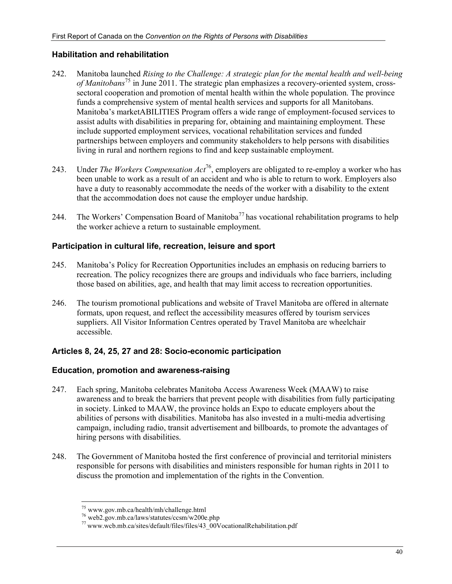#### **Habilitation and rehabilitation**

- 242. Manitoba launched *Rising to the Challenge: A strategic plan for the mental health and well-being of Manitobans*75 in June 2011. The strategic plan emphasizes a recovery-oriented system, crosssectoral cooperation and promotion of mental health within the whole population. The province funds a comprehensive system of mental health services and supports for all Manitobans. Manitoba's marketABILITIES Program offers a wide range of employment-focused services to assist adults with disabilities in preparing for, obtaining and maintaining employment. These include supported employment services, vocational rehabilitation services and funded partnerships between employers and community stakeholders to help persons with disabilities living in rural and northern regions to find and keep sustainable employment.
- 243. Under *The Workers Compensation Act*76, employers are obligated to re-employ a worker who has been unable to work as a result of an accident and who is able to return to work. Employers also have a duty to reasonably accommodate the needs of the worker with a disability to the extent that the accommodation does not cause the employer undue hardship.
- 244. The Workers' Compensation Board of Manitoba<sup>77</sup> has vocational rehabilitation programs to help the worker achieve a return to sustainable employment.

#### **Participation in cultural life, recreation, leisure and sport**

- 245. Manitoba's Policy for Recreation Opportunities includes an emphasis on reducing barriers to recreation. The policy recognizes there are groups and individuals who face barriers, including those based on abilities, age, and health that may limit access to recreation opportunities.
- 246. The tourism promotional publications and website of Travel Manitoba are offered in alternate formats, upon request, and reflect the accessibility measures offered by tourism services suppliers. All Visitor Information Centres operated by Travel Manitoba are wheelchair accessible.

## **Articles 8, 24, 25, 27 and 28: Socio-economic participation**

#### **Education, promotion and awareness-raising**

- 247. Each spring, Manitoba celebrates Manitoba Access Awareness Week (MAAW) to raise awareness and to break the barriers that prevent people with disabilities from fully participating in society. Linked to MAAW, the province holds an Expo to educate employers about the abilities of persons with disabilities. Manitoba has also invested in a multi-media advertising campaign, including radio, transit advertisement and billboards, to promote the advantages of hiring persons with disabilities.
- 248. The Government of Manitoba hosted the first conference of provincial and territorial ministers responsible for persons with disabilities and ministers responsible for human rights in 2011 to discuss the promotion and implementation of the rights in the Convention.

-

<sup>75</sup> www.gov.mb.ca/health/mh/challenge.html

<sup>76</sup> web2.gov.mb.ca/laws/statutes/ccsm/w200e.php

<sup>77</sup> www.wcb.mb.ca/sites/default/files/files/43\_00VocationalRehabilitation.pdf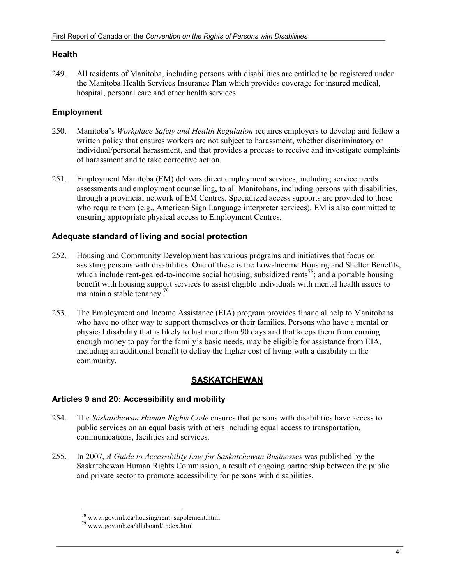#### **Health**

249. All residents of Manitoba, including persons with disabilities are entitled to be registered under the Manitoba Health Services Insurance Plan which provides coverage for insured medical, hospital, personal care and other health services.

## **Employment**

- 250. Manitoba's *Workplace Safety and Health Regulation* requires employers to develop and follow a written policy that ensures workers are not subject to harassment, whether discriminatory or individual/personal harassment, and that provides a process to receive and investigate complaints of harassment and to take corrective action.
- 251. Employment Manitoba (EM) delivers direct employment services, including service needs assessments and employment counselling, to all Manitobans, including persons with disabilities, through a provincial network of EM Centres. Specialized access supports are provided to those who require them (e.g., American Sign Language interpreter services). EM is also committed to ensuring appropriate physical access to Employment Centres.

## **Adequate standard of living and social protection**

- 252. Housing and Community Development has various programs and initiatives that focus on assisting persons with disabilities. One of these is the Low-Income Housing and Shelter Benefits, which include rent-geared-to-income social housing; subsidized rents<sup>78</sup>; and a portable housing benefit with housing support services to assist eligible individuals with mental health issues to maintain a stable tenancy.<sup>79</sup>
- 253. The Employment and Income Assistance (EIA) program provides financial help to Manitobans who have no other way to support themselves or their families. Persons who have a mental or physical disability that is likely to last more than 90 days and that keeps them from earning enough money to pay for the family's basic needs, may be eligible for assistance from EIA, including an additional benefit to defray the higher cost of living with a disability in the community.

## **SASKATCHEWAN**

## **Articles 9 and 20: Accessibility and mobility**

- 254. The *Saskatchewan Human Rights Code* ensures that persons with disabilities have access to public services on an equal basis with others including equal access to transportation, communications, facilities and services.
- 255. In 2007, *A Guide to Accessibility Law for Saskatchewan Businesses* was published by the Saskatchewan Human Rights Commission, a result of ongoing partnership between the public and private sector to promote accessibility for persons with disabilities.

<sup>-</sup>78 www.gov.mb.ca/housing/rent\_supplement.html

<sup>79</sup> www.gov.mb.ca/allaboard/index.html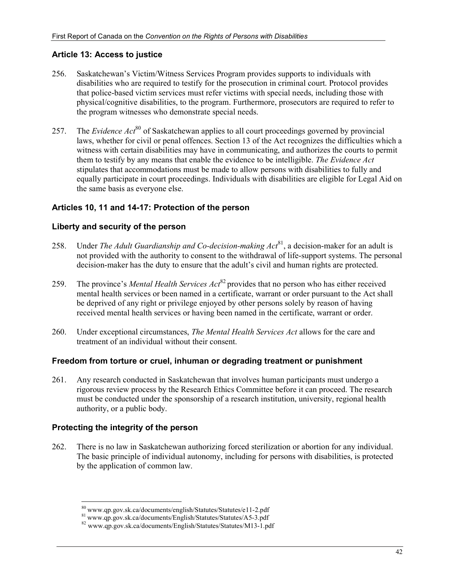#### **Article 13: Access to justice**

- 256. Saskatchewan's Victim/Witness Services Program provides supports to individuals with disabilities who are required to testify for the prosecution in criminal court. Protocol provides that police-based victim services must refer victims with special needs, including those with physical/cognitive disabilities, to the program. Furthermore, prosecutors are required to refer to the program witnesses who demonstrate special needs.
- 257. The *Evidence Act*80 of Saskatchewan applies to all court proceedings governed by provincial laws, whether for civil or penal offences. Section 13 of the Act recognizes the difficulties which a witness with certain disabilities may have in communicating, and authorizes the courts to permit them to testify by any means that enable the evidence to be intelligible. *The Evidence Act* stipulates that accommodations must be made to allow persons with disabilities to fully and equally participate in court proceedings. Individuals with disabilities are eligible for Legal Aid on the same basis as everyone else.

#### **Articles 10, 11 and 14-17: Protection of the person**

#### **Liberty and security of the person**

- 258. Under *The Adult Guardianship and Co-decision-making Act*<sup>81</sup>, a decision-maker for an adult is not provided with the authority to consent to the withdrawal of life-support systems. The personal decision-maker has the duty to ensure that the adult's civil and human rights are protected.
- 259. The province's *Mental Health Services Act*<sup>82</sup> provides that no person who has either received mental health services or been named in a certificate, warrant or order pursuant to the Act shall be deprived of any right or privilege enjoyed by other persons solely by reason of having received mental health services or having been named in the certificate, warrant or order.
- 260. Under exceptional circumstances, *The Mental Health Services Act* allows for the care and treatment of an individual without their consent.

#### **Freedom from torture or cruel, inhuman or degrading treatment or punishment**

261. Any research conducted in Saskatchewan that involves human participants must undergo a rigorous review process by the Research Ethics Committee before it can proceed. The research must be conducted under the sponsorship of a research institution, university, regional health authority, or a public body.

#### **Protecting the integrity of the person**

262. There is no law in Saskatchewan authorizing forced sterilization or abortion for any individual. The basic principle of individual autonomy, including for persons with disabilities, is protected by the application of common law.

<sup>80</sup> www.qp.gov.sk.ca/documents/english/Statutes/Statutes/e11-2.pdf

<sup>81</sup> www.qp.gov.sk.ca/documents/English/Statutes/Statutes/A5-3.pdf 82 www.qp.gov.sk.ca/documents/English/Statutes/Statutes/M13-1.pdf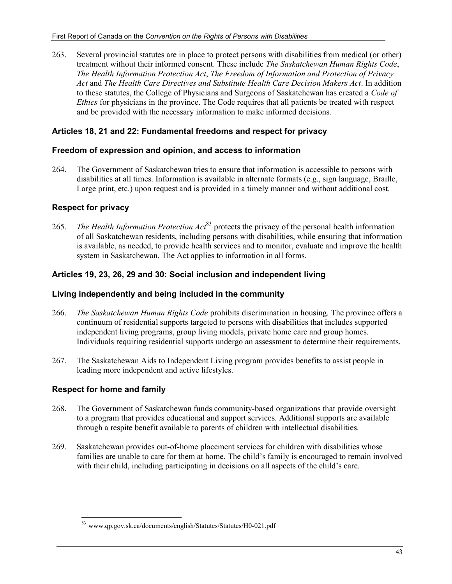263. Several provincial statutes are in place to protect persons with disabilities from medical (or other) treatment without their informed consent. These include *The Saskatchewan Human Rights Code*, *The Health Information Protection Act*, *The Freedom of Information and Protection of Privacy Act* and *The Health Care Directives and Substitute Health Care Decision Makers Act*. In addition to these statutes, the College of Physicians and Surgeons of Saskatchewan has created a *Code of Ethics* for physicians in the province. The Code requires that all patients be treated with respect and be provided with the necessary information to make informed decisions.

## **Articles 18, 21 and 22: Fundamental freedoms and respect for privacy**

## **Freedom of expression and opinion, and access to information**

264. The Government of Saskatchewan tries to ensure that information is accessible to persons with disabilities at all times. Information is available in alternate formats (e.g., sign language, Braille, Large print, etc.) upon request and is provided in a timely manner and without additional cost.

## **Respect for privacy**

265. *The Health Information Protection Act*83 protects the privacy of the personal health information of all Saskatchewan residents, including persons with disabilities, while ensuring that information is available, as needed, to provide health services and to monitor, evaluate and improve the health system in Saskatchewan. The Act applies to information in all forms.

## **Articles 19, 23, 26, 29 and 30: Social inclusion and independent living**

## **Living independently and being included in the community**

- 266. *The Saskatchewan Human Rights Code* prohibits discrimination in housing. The province offers a continuum of residential supports targeted to persons with disabilities that includes supported independent living programs, group living models, private home care and group homes. Individuals requiring residential supports undergo an assessment to determine their requirements.
- 267. The Saskatchewan Aids to Independent Living program provides benefits to assist people in leading more independent and active lifestyles.

## **Respect for home and family**

- 268. The Government of Saskatchewan funds community-based organizations that provide oversight to a program that provides educational and support services. Additional supports are available through a respite benefit available to parents of children with intellectual disabilities.
- 269. Saskatchewan provides out-of-home placement services for children with disabilities whose families are unable to care for them at home. The child's family is encouraged to remain involved with their child, including participating in decisions on all aspects of the child's care.

<sup>-</sup><sup>83</sup> www.qp.gov.sk.ca/documents/english/Statutes/Statutes/H0-021.pdf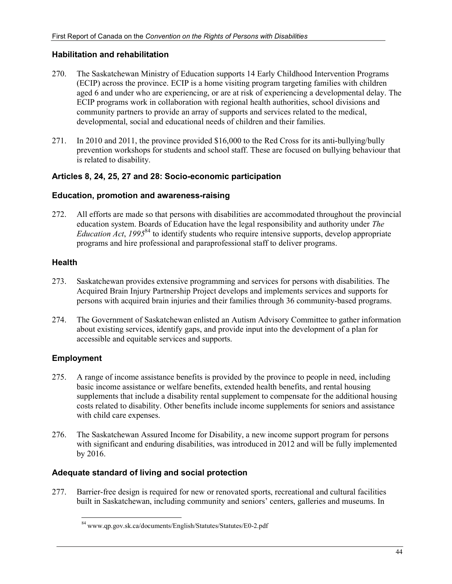## **Habilitation and rehabilitation**

- 270. The Saskatchewan Ministry of Education supports 14 Early Childhood Intervention Programs (ECIP) across the province. ECIP is a home visiting program targeting families with children aged 6 and under who are experiencing, or are at risk of experiencing a developmental delay. The ECIP programs work in collaboration with regional health authorities, school divisions and community partners to provide an array of supports and services related to the medical, developmental, social and educational needs of children and their families.
- 271. In 2010 and 2011, the province provided \$16,000 to the Red Cross for its anti-bullying/bully prevention workshops for students and school staff. These are focused on bullying behaviour that is related to disability.

## **Articles 8, 24, 25, 27 and 28: Socio-economic participation**

#### **Education, promotion and awareness-raising**

272. All efforts are made so that persons with disabilities are accommodated throughout the provincial education system. Boards of Education have the legal responsibility and authority under *The Education Act*, 1995<sup>84</sup> to identify students who require intensive supports, develop appropriate programs and hire professional and paraprofessional staff to deliver programs.

## **Health**

- 273. Saskatchewan provides extensive programming and services for persons with disabilities. The Acquired Brain Injury Partnership Project develops and implements services and supports for persons with acquired brain injuries and their families through 36 community-based programs.
- 274. The Government of Saskatchewan enlisted an Autism Advisory Committee to gather information about existing services, identify gaps, and provide input into the development of a plan for accessible and equitable services and supports.

## **Employment**

- 275. A range of income assistance benefits is provided by the province to people in need, including basic income assistance or welfare benefits, extended health benefits, and rental housing supplements that include a disability rental supplement to compensate for the additional housing costs related to disability. Other benefits include income supplements for seniors and assistance with child care expenses.
- 276. The Saskatchewan Assured Income for Disability, a new income support program for persons with significant and enduring disabilities, was introduced in 2012 and will be fully implemented by 2016.

## **Adequate standard of living and social protection**

277. Barrier-free design is required for new or renovated sports, recreational and cultural facilities built in Saskatchewan, including community and seniors' centers, galleries and museums. In

<sup>-</sup>84 www.qp.gov.sk.ca/documents/English/Statutes/Statutes/E0-2.pdf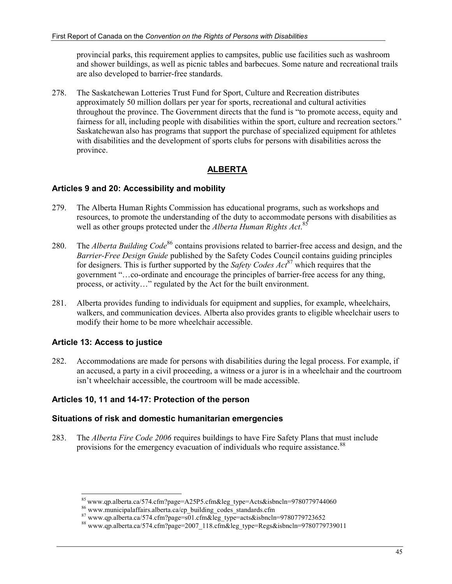provincial parks, this requirement applies to campsites, public use facilities such as washroom and shower buildings, as well as picnic tables and barbecues. Some nature and recreational trails are also developed to barrier-free standards.

278. The Saskatchewan Lotteries Trust Fund for Sport, Culture and Recreation distributes approximately 50 million dollars per year for sports, recreational and cultural activities throughout the province. The Government directs that the fund is "to promote access, equity and fairness for all, including people with disabilities within the sport, culture and recreation sectors." Saskatchewan also has programs that support the purchase of specialized equipment for athletes with disabilities and the development of sports clubs for persons with disabilities across the province.

## **ALBERTA**

## **Articles 9 and 20: Accessibility and mobility**

- 279. The Alberta Human Rights Commission has educational programs, such as workshops and resources, to promote the understanding of the duty to accommodate persons with disabilities as well as other groups protected under the *Alberta Human Rights Act*. 85
- 280. The *Alberta Building Code*<sup>86</sup> contains provisions related to barrier-free access and design, and the *Barrier-Free Design Guide* published by the Safety Codes Council contains guiding principles for designers. This is further supported by the *Safety Codes Act*<sup>87</sup> which requires that the government "…co-ordinate and encourage the principles of barrier-free access for any thing, process, or activity…" regulated by the Act for the built environment.
- 281. Alberta provides funding to individuals for equipment and supplies, for example, wheelchairs, walkers, and communication devices. Alberta also provides grants to eligible wheelchair users to modify their home to be more wheelchair accessible.

## **Article 13: Access to justice**

282. Accommodations are made for persons with disabilities during the legal process. For example, if an accused, a party in a civil proceeding, a witness or a juror is in a wheelchair and the courtroom isn't wheelchair accessible, the courtroom will be made accessible.

## **Articles 10, 11 and 14-17: Protection of the person**

#### **Situations of risk and domestic humanitarian emergencies**

283. The *Alberta Fire Code 2006* requires buildings to have Fire Safety Plans that must include provisions for the emergency evacuation of individuals who require assistance.<sup>88</sup>

 $^{85}$  www.qp.alberta.ca/574.cfm?page=A25P5.cfm&leg\_type=Acts&isbncln=9780779744060

<sup>&</sup>lt;sup>86</sup> www.municipalaffairs.alberta.ca/cp\_building\_codes\_standards.cfm

 $\frac{12}{87}$  www.qp.alberta.ca/574.cfm?page=s01.cfm&leg\_type=acts&isbncln=9780779723652

 $88$  www.qp.alberta.ca/574.cfm?page=2007\_118.cfm&leg\_type=Regs&isbncln=9780779739011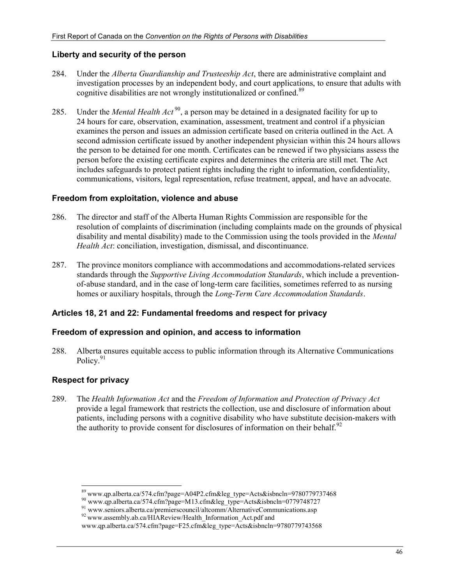#### **Liberty and security of the person**

- 284. Under the *Alberta Guardianship and Trusteeship Act*, there are administrative complaint and investigation processes by an independent body, and court applications, to ensure that adults with cognitive disabilities are not wrongly institutionalized or confined.<sup>89</sup>
- 285. Under the *Mental Health Act*<sup>90</sup>, a person may be detained in a designated facility for up to 24 hours for care, observation, examination, assessment, treatment and control if a physician examines the person and issues an admission certificate based on criteria outlined in the Act. A second admission certificate issued by another independent physician within this 24 hours allows the person to be detained for one month. Certificates can be renewed if two physicians assess the person before the existing certificate expires and determines the criteria are still met. The Act includes safeguards to protect patient rights including the right to information, confidentiality, communications, visitors, legal representation, refuse treatment, appeal, and have an advocate.

#### **Freedom from exploitation, violence and abuse**

- 286. The director and staff of the Alberta Human Rights Commission are responsible for the resolution of complaints of discrimination (including complaints made on the grounds of physical disability and mental disability) made to the Commission using the tools provided in the *Mental Health Act*: conciliation, investigation, dismissal, and discontinuance.
- 287. The province monitors compliance with accommodations and accommodations-related services standards through the *Supportive Living Accommodation Standards*, which include a preventionof-abuse standard, and in the case of long-term care facilities, sometimes referred to as nursing homes or auxiliary hospitals, through the *Long-Term Care Accommodation Standards*.

#### **Articles 18, 21 and 22: Fundamental freedoms and respect for privacy**

#### **Freedom of expression and opinion, and access to information**

288. Alberta ensures equitable access to public information through its Alternative Communications Policy.<sup>91</sup>

## **Respect for privacy**

289. The *Health Information Act* and the *Freedom of Information and Protection of Privacy Act* provide a legal framework that restricts the collection, use and disclosure of information about patients, including persons with a cognitive disability who have substitute decision-makers with the authority to provide consent for disclosures of information on their behalf.<sup>92</sup>

<sup>89</sup> www.qp.alberta.ca/574.cfm?page=A04P2.cfm&leg\_type=Acts&isbncln=9780779737468

<sup>&</sup>lt;sup>90</sup> www.qp.alberta.ca/574.cfm?page=M13.cfm&leg\_type=Acts&isbncln=0779748727

<sup>&</sup>lt;sup>91</sup> www.seniors.alberta.ca/premierscouncil/altcomm/AlternativeCommunications.asp

<sup>&</sup>lt;sup>92</sup> www.assembly.ab.ca/HIAReview/Health Information\_Act.pdf and www.qp.alberta.ca/574.cfm?page=F25.cfm&leg\_type=Acts&isbncln=9780779743568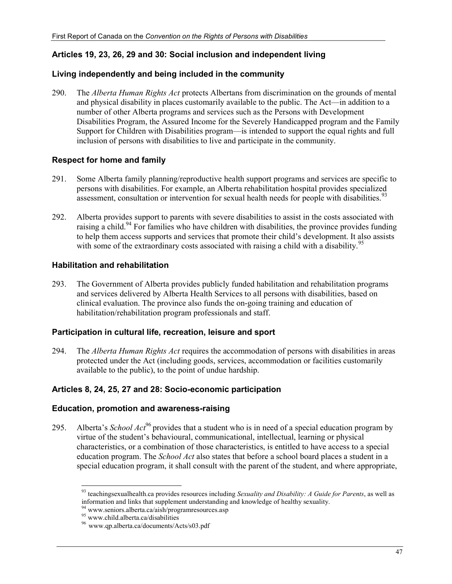## **Articles 19, 23, 26, 29 and 30: Social inclusion and independent living**

#### **Living independently and being included in the community**

290. The *Alberta Human Rights Act* protects Albertans from discrimination on the grounds of mental and physical disability in places customarily available to the public. The Act—in addition to a number of other Alberta programs and services such as the Persons with Development Disabilities Program, the Assured Income for the Severely Handicapped program and the Family Support for Children with Disabilities program—is intended to support the equal rights and full inclusion of persons with disabilities to live and participate in the community.

## **Respect for home and family**

- 291. Some Alberta family planning/reproductive health support programs and services are specific to persons with disabilities. For example, an Alberta rehabilitation hospital provides specialized assessment, consultation or intervention for sexual health needs for people with disabilities.<sup>93</sup>
- 292. Alberta provides support to parents with severe disabilities to assist in the costs associated with raising a child.<sup>94</sup> For families who have children with disabilities, the province provides funding to help them access supports and services that promote their child's development. It also assists with some of the extraordinary costs associated with raising a child with a disability.<sup>95</sup>

## **Habilitation and rehabilitation**

293. The Government of Alberta provides publicly funded habilitation and rehabilitation programs and services delivered by Alberta Health Services to all persons with disabilities, based on clinical evaluation. The province also funds the on-going training and education of habilitation/rehabilitation program professionals and staff.

## **Participation in cultural life, recreation, leisure and sport**

294. The *Alberta Human Rights Act* requires the accommodation of persons with disabilities in areas protected under the Act (including goods, services, accommodation or facilities customarily available to the public), to the point of undue hardship.

## **Articles 8, 24, 25, 27 and 28: Socio-economic participation**

#### **Education, promotion and awareness-raising**

295. Alberta's *School Act*<sup>96</sup> provides that a student who is in need of a special education program by virtue of the student's behavioural, communicational, intellectual, learning or physical characteristics, or a combination of those characteristics, is entitled to have access to a special education program. The *School Act* also states that before a school board places a student in a special education program, it shall consult with the parent of the student, and where appropriate,

<sup>-</sup>93 teachingsexualhealth.ca provides resources including *Sexuality and Disability: A Guide for Parents*, as well as information and links that supplement understanding and knowledge of healthy sexuality.

<sup>94</sup> www.seniors.alberta.ca/aish/programresources.asp

<sup>&</sup>lt;sup>95</sup> www.child.alberta.ca/disabilities

<sup>96</sup> www.qp.alberta.ca/documents/Acts/s03.pdf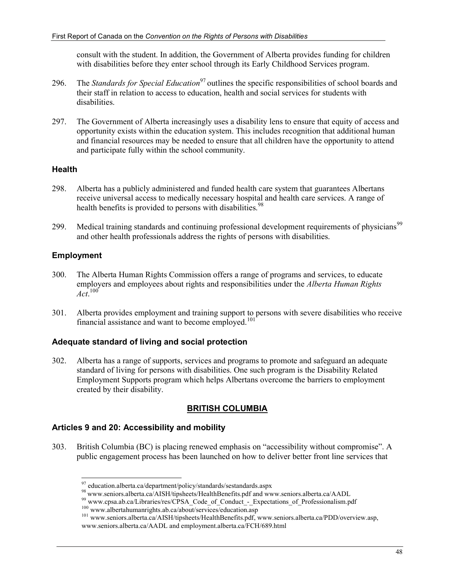consult with the student. In addition, the Government of Alberta provides funding for children with disabilities before they enter school through its Early Childhood Services program.

- 296. The *Standards for Special Education*97 outlines the specific responsibilities of school boards and their staff in relation to access to education, health and social services for students with disabilities.
- 297. The Government of Alberta increasingly uses a disability lens to ensure that equity of access and opportunity exists within the education system. This includes recognition that additional human and financial resources may be needed to ensure that all children have the opportunity to attend and participate fully within the school community.

## **Health**

- 298. Alberta has a publicly administered and funded health care system that guarantees Albertans receive universal access to medically necessary hospital and health care services. A range of health benefits is provided to persons with disabilities.<sup>98</sup>
- 299. Medical training standards and continuing professional development requirements of physicians<sup>99</sup> and other health professionals address the rights of persons with disabilities.

## **Employment**

- 300. The Alberta Human Rights Commission offers a range of programs and services, to educate employers and employees about rights and responsibilities under the *Alberta Human Rights Act*. 100
- 301. Alberta provides employment and training support to persons with severe disabilities who receive financial assistance and want to become employed.<sup>101</sup>

## **Adequate standard of living and social protection**

302. Alberta has a range of supports, services and programs to promote and safeguard an adequate standard of living for persons with disabilities. One such program is the Disability Related Employment Supports program which helps Albertans overcome the barriers to employment created by their disability.

## **BRITISH COLUMBIA**

## **Articles 9 and 20: Accessibility and mobility**

303. British Columbia (BC) is placing renewed emphasis on "accessibility without compromise". A public engagement process has been launched on how to deliver better front line services that

 $97$  education.alberta.ca/department/policy/standards/sestandards.aspx

<sup>98&</sup>lt;br>www.seniors.alberta.ca/AISH/tipsheets/HealthBenefits.pdf and www.seniors.alberta.ca/AADL<br>99 www.cpsa.ab.ca/Libraries/res/CPSA\_Code\_of\_Conduct\_-\_Expectations\_of\_Professionalism.pdf<br><sup>100</sup> www.albertahumanrights.ab.ca/abou

<sup>&</sup>lt;sup>101</sup> www.seniors.alberta.ca/AISH/tipsheets/HealthBenefits.pdf, www.seniors.alberta.ca/PDD/overview.asp, www.seniors.alberta.ca/AADL and employment.alberta.ca/FCH/689.html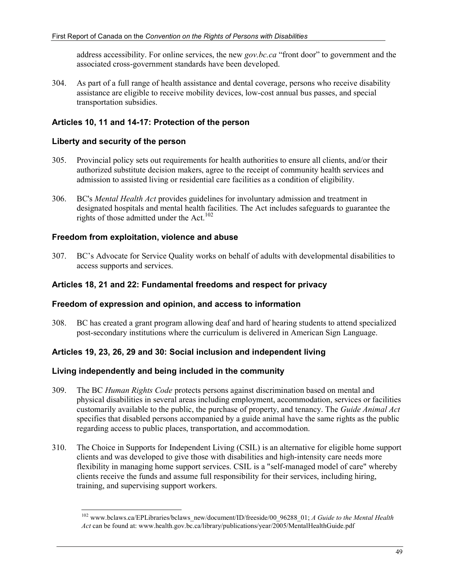address accessibility. For online services, the new *gov.bc.ca* "front door" to government and the associated cross-government standards have been developed.

304. As part of a full range of health assistance and dental coverage, persons who receive disability assistance are eligible to receive mobility devices, low-cost annual bus passes, and special transportation subsidies.

## **Articles 10, 11 and 14-17: Protection of the person**

#### **Liberty and security of the person**

- 305. Provincial policy sets out requirements for health authorities to ensure all clients, and/or their authorized substitute decision makers, agree to the receipt of community health services and admission to assisted living or residential care facilities as a condition of eligibility.
- 306. BC's *Mental Health Act* provides guidelines for involuntary admission and treatment in designated hospitals and mental health facilities. The Act includes safeguards to guarantee the rights of those admitted under the Act.<sup>102</sup>

## **Freedom from exploitation, violence and abuse**

307. BC's Advocate for Service Quality works on behalf of adults with developmental disabilities to access supports and services.

#### **Articles 18, 21 and 22: Fundamental freedoms and respect for privacy**

#### **Freedom of expression and opinion, and access to information**

308. BC has created a grant program allowing deaf and hard of hearing students to attend specialized post-secondary institutions where the curriculum is delivered in American Sign Language.

#### **Articles 19, 23, 26, 29 and 30: Social inclusion and independent living**

#### **Living independently and being included in the community**

- 309. The BC *Human Rights Code* protects persons against discrimination based on mental and physical disabilities in several areas including employment, accommodation, services or facilities customarily available to the public, the purchase of property, and tenancy. The *Guide Animal Act* specifies that disabled persons accompanied by a guide animal have the same rights as the public regarding access to public places, transportation, and accommodation.
- 310. The Choice in Supports for Independent Living (CSIL) is an alternative for eligible home support clients and was developed to give those with disabilities and high-intensity care needs more flexibility in managing home support services. CSIL is a "self-managed model of care" whereby clients receive the funds and assume full responsibility for their services, including hiring, training, and supervising support workers.

<sup>-</sup>102 www.bclaws.ca/EPLibraries/bclaws\_new/document/ID/freeside/00\_96288\_01; *A Guide to the Mental Health Act* can be found at: www.health.gov.bc.ca/library/publications/year/2005/MentalHealthGuide.pdf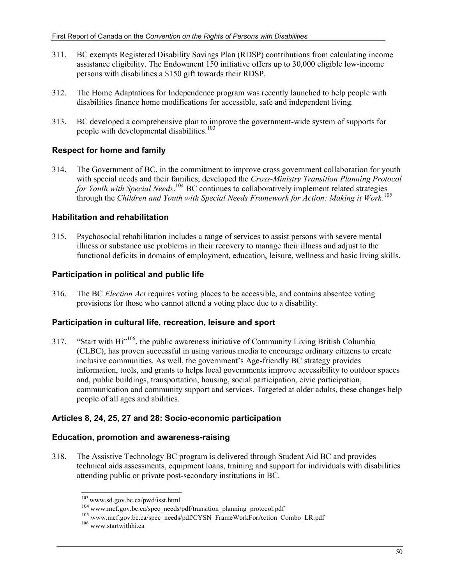- 311. BC exempts Registered Disability Savings Plan (RDSP) contributions from calculating income assistance eligibility. The Endowment 150 initiative offers up to 30,000 eligible low-income persons with disabilities a \$150 gift towards their RDSP.
- 312. The Home Adaptations for Independence program was recently launched to help people with disabilities finance home modifications for accessible, safe and independent living.
- 313. BC developed a comprehensive plan to improve the government-wide system of supports for people with developmental disabilities.<sup>103</sup>

## **Respect for home and family**

314. The Government of BC, in the commitment to improve cross government collaboration for youth with special needs and their families, developed the *Cross-Ministry Transition Planning Protocol*  for Youth with Special Needs.<sup>104</sup> BC continues to collaboratively implement related strategies through the *Children and Youth with Special Needs Framework for Action: Making it Work*. 105

## **Habilitation and rehabilitation**

315. Psychosocial rehabilitation includes a range of services to assist persons with severe mental illness or substance use problems in their recovery to manage their illness and adjust to the functional deficits in domains of employment, education, leisure, wellness and basic living skills.

## **Participation in political and public life**

316. The BC *Election Act* requires voting places to be accessible, and contains absentee voting provisions for those who cannot attend a voting place due to a disability.

## **Participation in cultural life, recreation, leisure and sport**

317. "Start with Hi<sup>"106</sup>, the public awareness initiative of Community Living British Columbia (CLBC), has proven successful in using various media to encourage ordinary citizens to create inclusive communities. As well, the government's Age-friendly BC strategy provides information, tools, and grants to helps local governments improve accessibility to outdoor spaces and, public buildings, transportation, housing, social participation, civic participation, communication and community support and services. Targeted at older adults, these changes help people of all ages and abilities.

## **Articles 8, 24, 25, 27 and 28: Socio-economic participation**

## **Education, promotion and awareness-raising**

318. The Assistive Technology BC program is delivered through Student Aid BC and provides technical aids assessments, equipment loans, training and support for individuals with disabilities attending public or private post-secondary institutions in BC.

 $103$  www.sd.gov.bc.ca/pwd/isst.html

<sup>&</sup>lt;sup>104</sup> www.mcf.gov.bc.ca/spec\_needs/pdf/transition\_planning\_protocol.pdf<br><sup>105</sup> www.mcf.gov.bc.ca/spec\_needs/pdf/CYSN\_FrameWorkForAction\_Combo\_LR.pdf<br><sup>106</sup> www.startwithhi.ca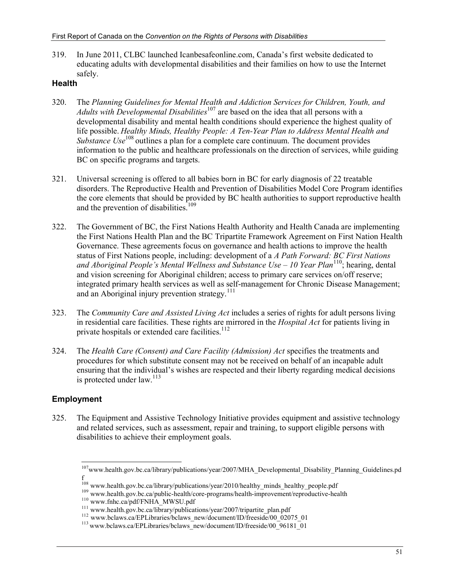319. In June 2011, CLBC launched Icanbesafeonline.com, Canada's first website dedicated to educating adults with developmental disabilities and their families on how to use the Internet safely.

#### **Health**

- 320. The *Planning Guidelines for Mental Health and Addiction Services for Children, Youth, and Adults with Developmental Disabilities*<sup>107</sup> are based on the idea that all persons with a developmental disability and mental health conditions should experience the highest quality of life possible. *Healthy Minds, Healthy People: A Ten-Year Plan to Address Mental Health and Substance Use*<sup>108</sup> outlines a plan for a complete care continuum. The document provides information to the public and healthcare professionals on the direction of services, while guiding BC on specific programs and targets.
- 321. Universal screening is offered to all babies born in BC for early diagnosis of 22 treatable disorders. The Reproductive Health and Prevention of Disabilities Model Core Program identifies the core elements that should be provided by BC health authorities to support reproductive health and the prevention of disabilities.<sup>109</sup>
- 322. The Government of BC, the First Nations Health Authority and Health Canada are implementing the First Nations Health Plan and the BC Tripartite Framework Agreement on First Nation Health Governance. These agreements focus on governance and health actions to improve the health status of First Nations people, including: development of a *A Path Forward: BC First Nations and Aboriginal People's Mental Wellness and Substance Use – 10 Year Plan*110; hearing, dental and vision screening for Aboriginal children; access to primary care services on/off reserve; integrated primary health services as well as self-management for Chronic Disease Management; and an Aboriginal injury prevention strategy. $111$
- 323. The *Community Care and Assisted Living Act* includes a series of rights for adult persons living in residential care facilities. These rights are mirrored in the *Hospital Act* for patients living in private hospitals or extended care facilities.<sup>112</sup>
- 324. The *Health Care (Consent) and Care Facility (Admission) Act* specifies the treatments and procedures for which substitute consent may not be received on behalf of an incapable adult ensuring that the individual's wishes are respected and their liberty regarding medical decisions is protected under  $law.<sup>113</sup>$

## **Employment**

325. The Equipment and Assistive Technology Initiative provides equipment and assistive technology and related services, such as assessment, repair and training, to support eligible persons with disabilities to achieve their employment goals.

<sup>-</sup><sup>107</sup>www.health.gov.bc.ca/library/publications/year/2007/MHA\_Developmental\_Disability\_Planning\_Guidelines.pd f

<sup>&</sup>lt;sup>108</sup> www.health.gov.bc.ca/library/publications/year/2010/healthy\_minds\_healthy\_people.pdf<br><sup>109</sup> www.health.gov.bc.ca/public-health/core-programs/health-improvement/reproductive-health<br><sup>110</sup> www.fnhc.ca/pdf/FNHA\_MWSU.pdf<br>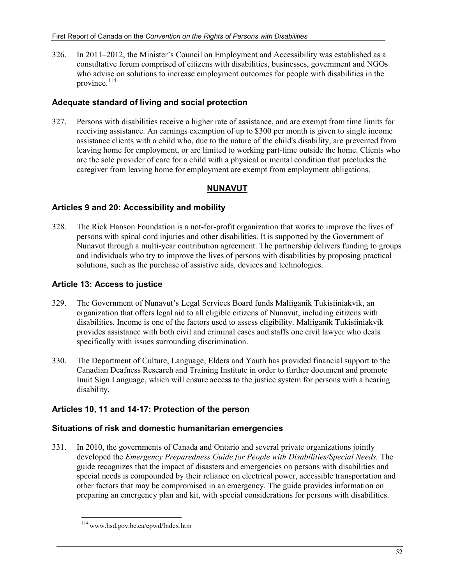326. In 2011–2012, the Minister's Council on Employment and Accessibility was established as a consultative forum comprised of citizens with disabilities, businesses, government and NGOs who advise on solutions to increase employment outcomes for people with disabilities in the province. $^{114}$ 

## **Adequate standard of living and social protection**

327. Persons with disabilities receive a higher rate of assistance, and are exempt from time limits for receiving assistance. An earnings exemption of up to \$300 per month is given to single income assistance clients with a child who, due to the nature of the child's disability, are prevented from leaving home for employment, or are limited to working part-time outside the home. Clients who are the sole provider of care for a child with a physical or mental condition that precludes the caregiver from leaving home for employment are exempt from employment obligations.

## **NUNAVUT**

## **Articles 9 and 20: Accessibility and mobility**

328. The Rick Hanson Foundation is a not-for-profit organization that works to improve the lives of persons with spinal cord injuries and other disabilities. It is supported by the Government of Nunavut through a multi-year contribution agreement. The partnership delivers funding to groups and individuals who try to improve the lives of persons with disabilities by proposing practical solutions, such as the purchase of assistive aids, devices and technologies.

## **Article 13: Access to justice**

- 329. The Government of Nunavut's Legal Services Board funds Maliiganik Tukisiiniakvik, an organization that offers legal aid to all eligible citizens of Nunavut, including citizens with disabilities. Income is one of the factors used to assess eligibility. Maliiganik Tukisiiniakvik provides assistance with both civil and criminal cases and staffs one civil lawyer who deals specifically with issues surrounding discrimination.
- 330. The Department of Culture, Language, Elders and Youth has provided financial support to the Canadian Deafness Research and Training Institute in order to further document and promote Inuit Sign Language, which will ensure access to the justice system for persons with a hearing disability.

## **Articles 10, 11 and 14-17: Protection of the person**

## **Situations of risk and domestic humanitarian emergencies**

331. In 2010, the governments of Canada and Ontario and several private organizations jointly developed the *Emergency Preparedness Guide for People with Disabilities/Special Needs.* The guide recognizes that the impact of disasters and emergencies on persons with disabilities and special needs is compounded by their reliance on electrical power, accessible transportation and other factors that may be compromised in an emergency. The guide provides information on preparing an emergency plan and kit, with special considerations for persons with disabilities.

<sup>-</sup>114 www.hsd.gov.bc.ca/epwd/Index.htm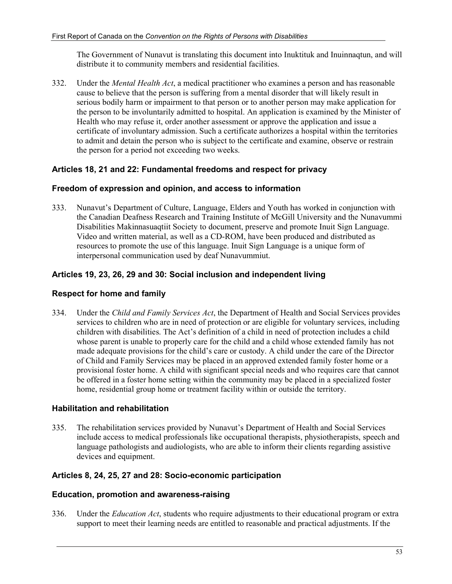The Government of Nunavut is translating this document into Inuktituk and Inuinnaqtun, and will distribute it to community members and residential facilities.

332. Under the *Mental Health Act*, a medical practitioner who examines a person and has reasonable cause to believe that the person is suffering from a mental disorder that will likely result in serious bodily harm or impairment to that person or to another person may make application for the person to be involuntarily admitted to hospital. An application is examined by the Minister of Health who may refuse it, order another assessment or approve the application and issue a certificate of involuntary admission. Such a certificate authorizes a hospital within the territories to admit and detain the person who is subject to the certificate and examine, observe or restrain the person for a period not exceeding two weeks.

## **Articles 18, 21 and 22: Fundamental freedoms and respect for privacy**

#### **Freedom of expression and opinion, and access to information**

333. Nunavut's Department of Culture, Language, Elders and Youth has worked in conjunction with the Canadian Deafness Research and Training Institute of McGill University and the Nunavummi Disabilities Makinnasuaqtiit Society to document, preserve and promote Inuit Sign Language. Video and written material, as well as a CD-ROM, have been produced and distributed as resources to promote the use of this language. Inuit Sign Language is a unique form of interpersonal communication used by deaf Nunavummiut.

## **Articles 19, 23, 26, 29 and 30: Social inclusion and independent living**

#### **Respect for home and family**

334. Under the *Child and Family Services Act*, the Department of Health and Social Services provides services to children who are in need of protection or are eligible for voluntary services, including children with disabilities. The Act's definition of a child in need of protection includes a child whose parent is unable to properly care for the child and a child whose extended family has not made adequate provisions for the child's care or custody. A child under the care of the Director of Child and Family Services may be placed in an approved extended family foster home or a provisional foster home. A child with significant special needs and who requires care that cannot be offered in a foster home setting within the community may be placed in a specialized foster home, residential group home or treatment facility within or outside the territory.

## **Habilitation and rehabilitation**

335. The rehabilitation services provided by Nunavut's Department of Health and Social Services include access to medical professionals like occupational therapists, physiotherapists, speech and language pathologists and audiologists, who are able to inform their clients regarding assistive devices and equipment.

## **Articles 8, 24, 25, 27 and 28: Socio-economic participation**

#### **Education, promotion and awareness-raising**

336. Under the *Education Act*, students who require adjustments to their educational program or extra support to meet their learning needs are entitled to reasonable and practical adjustments. If the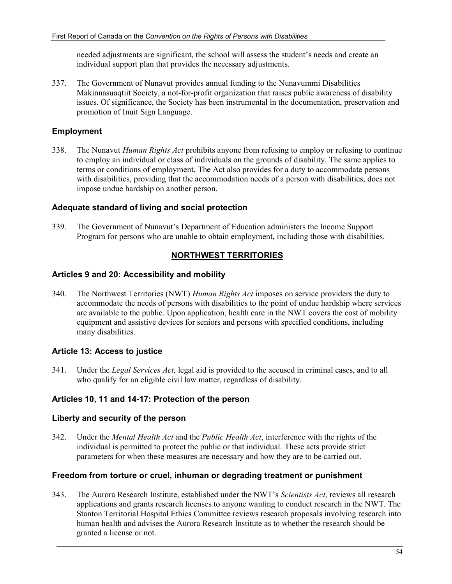needed adjustments are significant, the school will assess the student's needs and create an individual support plan that provides the necessary adjustments.

337. The Government of Nunavut provides annual funding to the Nunavummi Disabilities Makinnasuaqtiit Society, a not-for-profit organization that raises public awareness of disability issues. Of significance, the Society has been instrumental in the documentation, preservation and promotion of Inuit Sign Language.

## **Employment**

338. The Nunavut *Human Rights Act* prohibits anyone from refusing to employ or refusing to continue to employ an individual or class of individuals on the grounds of disability. The same applies to terms or conditions of employment. The Act also provides for a duty to accommodate persons with disabilities, providing that the accommodation needs of a person with disabilities, does not impose undue hardship on another person.

#### **Adequate standard of living and social protection**

339. The Government of Nunavut's Department of Education administers the Income Support Program for persons who are unable to obtain employment, including those with disabilities.

## **NORTHWEST TERRITORIES**

#### **Articles 9 and 20: Accessibility and mobility**

340. The Northwest Territories (NWT) *Human Rights Act* imposes on service providers the duty to accommodate the needs of persons with disabilities to the point of undue hardship where services are available to the public. Upon application, health care in the NWT covers the cost of mobility equipment and assistive devices for seniors and persons with specified conditions, including many disabilities.

## **Article 13: Access to justice**

341. Under the *Legal Services Act*, legal aid is provided to the accused in criminal cases, and to all who qualify for an eligible civil law matter, regardless of disability.

## **Articles 10, 11 and 14-17: Protection of the person**

#### **Liberty and security of the person**

342. Under the *Mental Health Act* and the *Public Health Act*, interference with the rights of the individual is permitted to protect the public or that individual. These acts provide strict parameters for when these measures are necessary and how they are to be carried out.

#### **Freedom from torture or cruel, inhuman or degrading treatment or punishment**

343. The Aurora Research Institute, established under the NWT's *Scientists Act*, reviews all research applications and grants research licenses to anyone wanting to conduct research in the NWT. The Stanton Territorial Hospital Ethics Committee reviews research proposals involving research into human health and advises the Aurora Research Institute as to whether the research should be granted a license or not.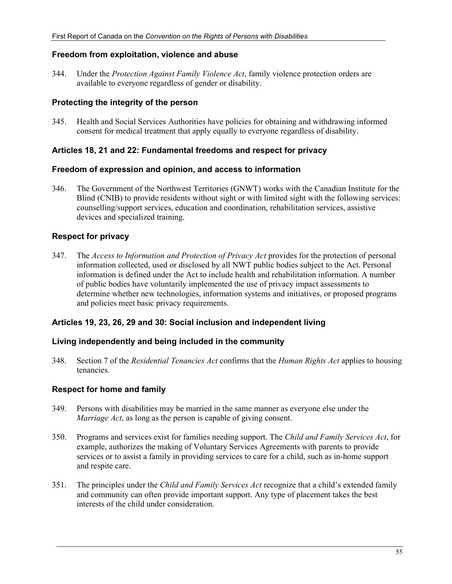#### **Freedom from exploitation, violence and abuse**

344. Under the *Protection Against Family Violence Act*, family violence protection orders are available to everyone regardless of gender or disability.

#### **Protecting the integrity of the person**

345. Health and Social Services Authorities have policies for obtaining and withdrawing informed consent for medical treatment that apply equally to everyone regardless of disability.

#### **Articles 18, 21 and 22: Fundamental freedoms and respect for privacy**

#### **Freedom of expression and opinion, and access to information**

346. The Government of the Northwest Territories (GNWT) works with the Canadian Institute for the Blind (CNIB) to provide residents without sight or with limited sight with the following services: counselling/support services, education and coordination, rehabilitation services, assistive devices and specialized training.

#### **Respect for privacy**

347. The *Access to Information and Protection of Privacy Act* provides for the protection of personal information collected, used or disclosed by all NWT public bodies subject to the Act. Personal information is defined under the Act to include health and rehabilitation information. A number of public bodies have voluntarily implemented the use of privacy impact assessments to determine whether new technologies, information systems and initiatives, or proposed programs and policies meet basic privacy requirements.

#### **Articles 19, 23, 26, 29 and 30: Social inclusion and independent living**

#### **Living independently and being included in the community**

348. Section 7 of the *Residential Tenancies Act* confirms that the *Human Rights Act* applies to housing tenancies*.*

#### **Respect for home and family**

- 349. Persons with disabilities may be married in the same manner as everyone else under the *Marriage Act*, as long as the person is capable of giving consent.
- 350. Programs and services exist for families needing support. The *Child and Family Services Act*, for example, authorizes the making of Voluntary Services Agreements with parents to provide services or to assist a family in providing services to care for a child, such as in-home support and respite care.
- 351. The principles under the *Child and Family Services Act* recognize that a child's extended family and community can often provide important support. Any type of placement takes the best interests of the child under consideration.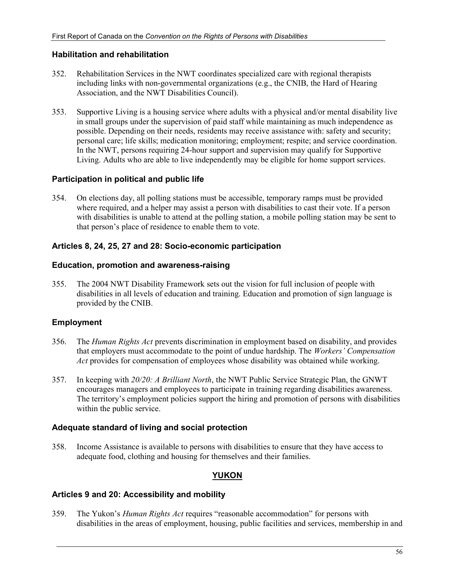#### **Habilitation and rehabilitation**

- 352. Rehabilitation Services in the NWT coordinates specialized care with regional therapists including links with non-governmental organizations (e.g., the CNIB, the Hard of Hearing Association, and the NWT Disabilities Council).
- 353. Supportive Living is a housing service where adults with a physical and/or mental disability live in small groups under the supervision of paid staff while maintaining as much independence as possible. Depending on their needs, residents may receive assistance with: safety and security; personal care; life skills; medication monitoring; employment; respite; and service coordination. In the NWT, persons requiring 24-hour support and supervision may qualify for Supportive Living. Adults who are able to live independently may be eligible for home support services.

## **Participation in political and public life**

354. On elections day, all polling stations must be accessible, temporary ramps must be provided where required, and a helper may assist a person with disabilities to cast their vote. If a person with disabilities is unable to attend at the polling station, a mobile polling station may be sent to that person's place of residence to enable them to vote.

## **Articles 8, 24, 25, 27 and 28: Socio-economic participation**

#### **Education, promotion and awareness-raising**

355. The 2004 NWT Disability Framework sets out the vision for full inclusion of people with disabilities in all levels of education and training. Education and promotion of sign language is provided by the CNIB.

## **Employment**

- 356. The *Human Rights Act* prevents discrimination in employment based on disability, and provides that employers must accommodate to the point of undue hardship. The *Workers' Compensation Act* provides for compensation of employees whose disability was obtained while working.
- 357. In keeping with *20/20: A Brilliant North*, the NWT Public Service Strategic Plan, the GNWT encourages managers and employees to participate in training regarding disabilities awareness. The territory's employment policies support the hiring and promotion of persons with disabilities within the public service.

## **Adequate standard of living and social protection**

358. Income Assistance is available to persons with disabilities to ensure that they have access to adequate food, clothing and housing for themselves and their families.

## **YUKON**

## **Articles 9 and 20: Accessibility and mobility**

359. The Yukon's *Human Rights Act* requires "reasonable accommodation" for persons with disabilities in the areas of employment, housing, public facilities and services, membership in and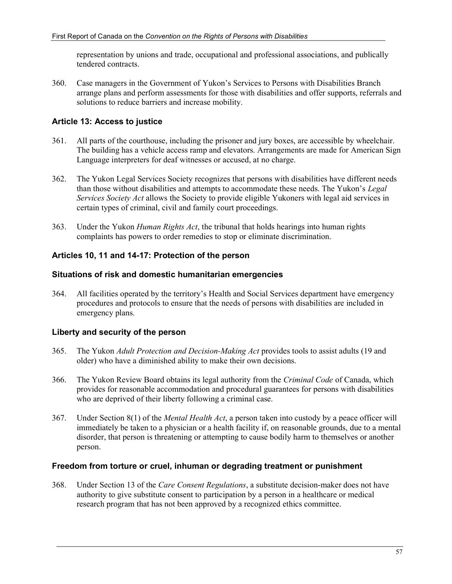representation by unions and trade, occupational and professional associations, and publically tendered contracts.

360. Case managers in the Government of Yukon's Services to Persons with Disabilities Branch arrange plans and perform assessments for those with disabilities and offer supports, referrals and solutions to reduce barriers and increase mobility.

## **Article 13: Access to justice**

- 361. All parts of the courthouse, including the prisoner and jury boxes, are accessible by wheelchair. The building has a vehicle access ramp and elevators. Arrangements are made for American Sign Language interpreters for deaf witnesses or accused, at no charge.
- 362. The Yukon Legal Services Society recognizes that persons with disabilities have different needs than those without disabilities and attempts to accommodate these needs. The Yukon's *Legal Services Society Act* allows the Society to provide eligible Yukoners with legal aid services in certain types of criminal, civil and family court proceedings.
- 363. Under the Yukon *Human Rights Act*, the tribunal that holds hearings into human rights complaints has powers to order remedies to stop or eliminate discrimination.

## **Articles 10, 11 and 14-17: Protection of the person**

#### **Situations of risk and domestic humanitarian emergencies**

364. All facilities operated by the territory's Health and Social Services department have emergency procedures and protocols to ensure that the needs of persons with disabilities are included in emergency plans.

## **Liberty and security of the person**

- 365. The Yukon *Adult Protection and Decision-Making Act* provides tools to assist adults (19 and older) who have a diminished ability to make their own decisions.
- 366. The Yukon Review Board obtains its legal authority from the *Criminal Code* of Canada, which provides for reasonable accommodation and procedural guarantees for persons with disabilities who are deprived of their liberty following a criminal case.
- 367. Under Section 8(1) of the *Mental Health Act*, a person taken into custody by a peace officer will immediately be taken to a physician or a health facility if, on reasonable grounds, due to a mental disorder, that person is threatening or attempting to cause bodily harm to themselves or another person.

#### **Freedom from torture or cruel, inhuman or degrading treatment or punishment**

368. Under Section 13 of the *Care Consent Regulations*, a substitute decision-maker does not have authority to give substitute consent to participation by a person in a healthcare or medical research program that has not been approved by a recognized ethics committee.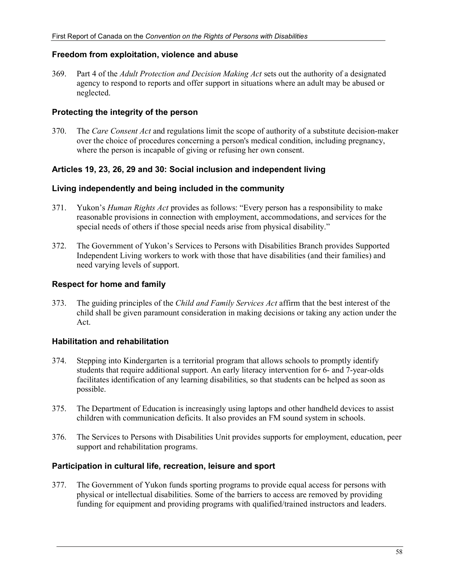#### **Freedom from exploitation, violence and abuse**

369. Part 4 of the *Adult Protection and Decision Making Act* sets out the authority of a designated agency to respond to reports and offer support in situations where an adult may be abused or neglected.

#### **Protecting the integrity of the person**

370. The *Care Consent Act* and regulations limit the scope of authority of a substitute decision-maker over the choice of procedures concerning a person's medical condition, including pregnancy, where the person is incapable of giving or refusing her own consent.

#### **Articles 19, 23, 26, 29 and 30: Social inclusion and independent living**

#### **Living independently and being included in the community**

- 371. Yukon's *Human Rights Act* provides as follows: "Every person has a responsibility to make reasonable provisions in connection with employment, accommodations, and services for the special needs of others if those special needs arise from physical disability."
- 372. The Government of Yukon's Services to Persons with Disabilities Branch provides Supported Independent Living workers to work with those that have disabilities (and their families) and need varying levels of support.

#### **Respect for home and family**

373. The guiding principles of the *Child and Family Services Act* affirm that the best interest of the child shall be given paramount consideration in making decisions or taking any action under the Act.

#### **Habilitation and rehabilitation**

- 374. Stepping into Kindergarten is a territorial program that allows schools to promptly identify students that require additional support. An early literacy intervention for 6- and 7-year-olds facilitates identification of any learning disabilities, so that students can be helped as soon as possible.
- 375. The Department of Education is increasingly using laptops and other handheld devices to assist children with communication deficits. It also provides an FM sound system in schools.
- 376. The Services to Persons with Disabilities Unit provides supports for employment, education, peer support and rehabilitation programs.

#### **Participation in cultural life, recreation, leisure and sport**

377. The Government of Yukon funds sporting programs to provide equal access for persons with physical or intellectual disabilities. Some of the barriers to access are removed by providing funding for equipment and providing programs with qualified/trained instructors and leaders.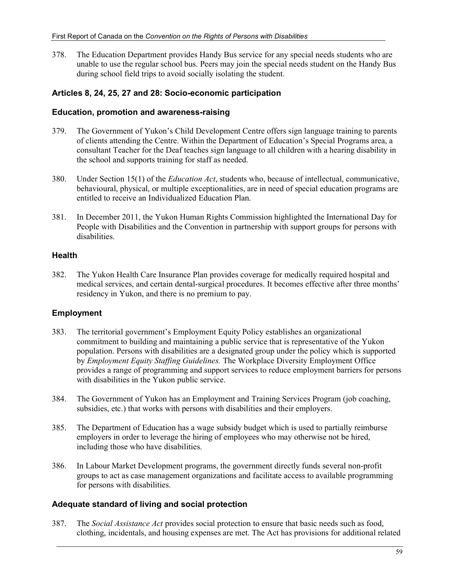378. The Education Department provides Handy Bus service for any special needs students who are unable to use the regular school bus. Peers may join the special needs student on the Handy Bus during school field trips to avoid socially isolating the student.

## **Articles 8, 24, 25, 27 and 28: Socio-economic participation**

#### **Education, promotion and awareness-raising**

- 379. The Government of Yukon's Child Development Centre offers sign language training to parents of clients attending the Centre. Within the Department of Education's Special Programs area, a consultant Teacher for the Deaf teaches sign language to all children with a hearing disability in the school and supports training for staff as needed.
- 380. Under Section 15(1) of the *Education Act*, students who, because of intellectual, communicative, behavioural, physical, or multiple exceptionalities, are in need of special education programs are entitled to receive an Individualized Education Plan.
- 381. In December 2011, the Yukon Human Rights Commission highlighted the International Day for People with Disabilities and the Convention in partnership with support groups for persons with disabilities.

## **Health**

382. The Yukon Health Care Insurance Plan provides coverage for medically required hospital and medical services, and certain dental-surgical procedures. It becomes effective after three months' residency in Yukon, and there is no premium to pay.

## **Employment**

- 383. The territorial government's Employment Equity Policy establishes an organizational commitment to building and maintaining a public service that is representative of the Yukon population. Persons with disabilities are a designated group under the policy which is supported by *Employment Equity Staffing Guidelines.* The Workplace Diversity Employment Office provides a range of programming and support services to reduce employment barriers for persons with disabilities in the Yukon public service.
- 384. The Government of Yukon has an Employment and Training Services Program (job coaching, subsidies, etc.) that works with persons with disabilities and their employers.
- 385. The Department of Education has a wage subsidy budget which is used to partially reimburse employers in order to leverage the hiring of employees who may otherwise not be hired, including those who have disabilities.
- 386. In Labour Market Development programs, the government directly funds several non-profit groups to act as case management organizations and facilitate access to available programming for persons with disabilities.

## **Adequate standard of living and social protection**

387. The *Social Assistance Act* provides social protection to ensure that basic needs such as food, clothing, incidentals, and housing expenses are met. The Act has provisions for additional related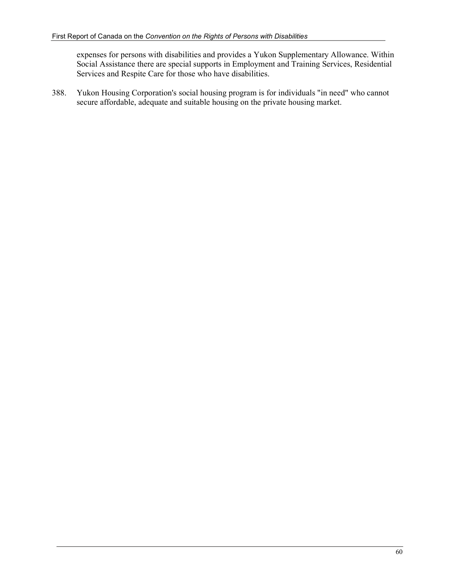expenses for persons with disabilities and provides a Yukon Supplementary Allowance. Within Social Assistance there are special supports in Employment and Training Services, Residential Services and Respite Care for those who have disabilities.

388. Yukon Housing Corporation's social housing program is for individuals "in need" who cannot secure affordable, adequate and suitable housing on the private housing market.